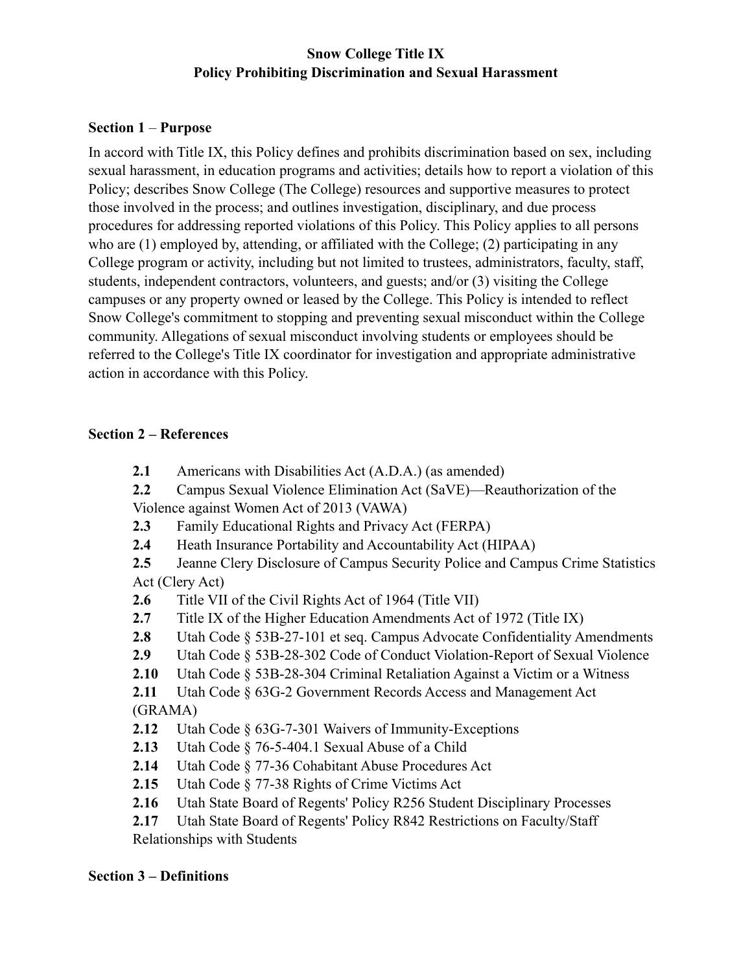## **Snow College Title IX Policy Prohibiting Discrimination and Sexual Harassment**

#### **Section 1** – **Purpose**

In accord with Title IX, this Policy defines and prohibits discrimination based on sex, including sexual harassment, in education programs and activities; details how to report a violation of this Policy; describes Snow College (The College) resources and supportive measures to protect those involved in the process; and outlines investigation, disciplinary, and due process procedures for addressing reported violations of this Policy. This Policy applies to all persons who are (1) employed by, attending, or affiliated with the College; (2) participating in any College program or activity, including but not limited to trustees, administrators, faculty, staff, students, independent contractors, volunteers, and guests; and/or (3) visiting the College campuses or any property owned or leased by the College. This Policy is intended to reflect Snow College's commitment to stopping and preventing sexual misconduct within the College community. Allegations of sexual misconduct involving students or employees should be referred to the College's Title IX coordinator for investigation and appropriate administrative action in accordance with this Policy.

#### **Section 2 – References**

- **2.1** Americans with Disabilities Act (A.D.A.) (as amended)
- **2.2** Campus Sexual Violence Elimination Act (SaVE)—Reauthorization of the Violence against Women Act of 2013 (VAWA)
- **2.3** Family Educational Rights and Privacy Act (FERPA)
- **2.4** Heath Insurance Portability and Accountability Act (HIPAA)
- **2.5** Jeanne Clery Disclosure of Campus Security Police and Campus Crime Statistics Act (Clery Act)
- **2.6** Title VII of the Civil Rights Act of 1964 (Title VII)
- **2.7** Title IX of the Higher Education Amendments Act of 1972 (Title IX)
- **2.8** Utah Code § 53B-27-101 et seq. Campus Advocate Confidentiality Amendments
- **2.9** Utah Code § 53B-28-302 Code of Conduct Violation-Report of Sexual Violence
- **2.10** Utah Code § 53B-28-304 Criminal Retaliation Against a Victim or a Witness

**2.11** Utah Code § 63G-2 Government Records Access and Management Act (GRAMA)

- **2.12** Utah Code § 63G-7-301 Waivers of Immunity-Exceptions
- **2.13** Utah Code § 76-5-404.1 Sexual Abuse of a Child
- **2.14** Utah Code § 77-36 Cohabitant Abuse Procedures Act
- **2.15** Utah Code § 77-38 Rights of Crime Victims Act
- **2.16** Utah State Board of Regents' Policy R256 Student Disciplinary Processes

**2.17** Utah State Board of Regents' Policy R842 Restrictions on Faculty/Staff Relationships with Students

#### **Section 3 – Definitions**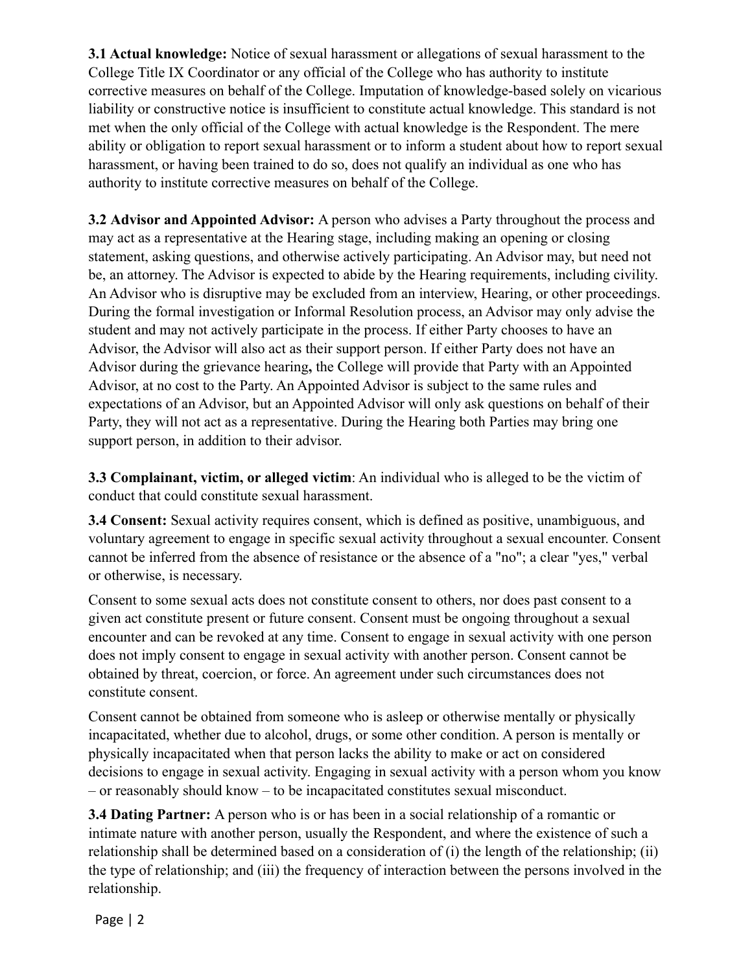**3.1 Actual knowledge:** Notice of sexual harassment or allegations of sexual harassment to the College Title IX Coordinator or any official of the College who has authority to institute corrective measures on behalf of the College. Imputation of knowledge-based solely on vicarious liability or constructive notice is insufficient to constitute actual knowledge. This standard is not met when the only official of the College with actual knowledge is the Respondent. The mere ability or obligation to report sexual harassment or to inform a student about how to report sexual harassment, or having been trained to do so, does not qualify an individual as one who has authority to institute corrective measures on behalf of the College.

**3.2 Advisor and Appointed Advisor:** A person who advises a Party throughout the process and may act as a representative at the Hearing stage, including making an opening or closing statement, asking questions, and otherwise actively participating. An Advisor may, but need not be, an attorney. The Advisor is expected to abide by the Hearing requirements, including civility. An Advisor who is disruptive may be excluded from an interview, Hearing, or other proceedings. During the formal investigation or Informal Resolution process, an Advisor may only advise the student and may not actively participate in the process. If either Party chooses to have an Advisor, the Advisor will also act as their support person. If either Party does not have an Advisor during the grievance hearing**,** the College will provide that Party with an Appointed Advisor, at no cost to the Party. An Appointed Advisor is subject to the same rules and expectations of an Advisor, but an Appointed Advisor will only ask questions on behalf of their Party, they will not act as a representative. During the Hearing both Parties may bring one support person, in addition to their advisor.

**3.3 Complainant, victim, or alleged victim**: An individual who is alleged to be the victim of conduct that could constitute sexual harassment.

**3.4 Consent:** Sexual activity requires consent, which is defined as positive, unambiguous, and voluntary agreement to engage in specific sexual activity throughout a sexual encounter. Consent cannot be inferred from the absence of resistance or the absence of a "no"; a clear "yes," verbal or otherwise, is necessary.

Consent to some sexual acts does not constitute consent to others, nor does past consent to a given act constitute present or future consent. Consent must be ongoing throughout a sexual encounter and can be revoked at any time. Consent to engage in sexual activity with one person does not imply consent to engage in sexual activity with another person. Consent cannot be obtained by threat, coercion, or force. An agreement under such circumstances does not constitute consent.

Consent cannot be obtained from someone who is asleep or otherwise mentally or physically incapacitated, whether due to alcohol, drugs, or some other condition. A person is mentally or physically incapacitated when that person lacks the ability to make or act on considered decisions to engage in sexual activity. Engaging in sexual activity with a person whom you know – or reasonably should know – to be incapacitated constitutes sexual misconduct.

**3.4 Dating Partner:** A person who is or has been in a social relationship of a romantic or intimate nature with another person, usually the Respondent, and where the existence of such a relationship shall be determined based on a consideration of (i) the length of the relationship; (ii) the type of relationship; and (iii) the frequency of interaction between the persons involved in the relationship.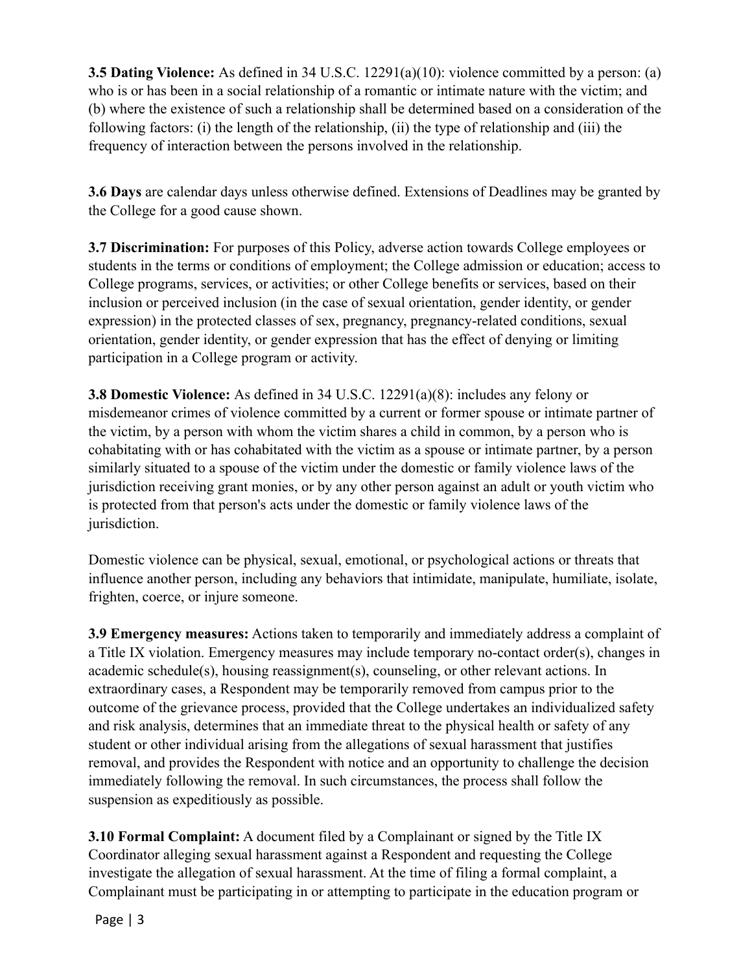**3.5 Dating Violence:** As defined in 34 U.S.C. 12291(a)(10): violence committed by a person: (a) who is or has been in a social relationship of a romantic or intimate nature with the victim; and (b) where the existence of such a relationship shall be determined based on a consideration of the following factors: (i) the length of the relationship, (ii) the type of relationship and (iii) the frequency of interaction between the persons involved in the relationship.

**3.6 Days** are calendar days unless otherwise defined. Extensions of Deadlines may be granted by the College for a good cause shown.

**3.7 Discrimination:** For purposes of this Policy, adverse action towards College employees or students in the terms or conditions of employment; the College admission or education; access to College programs, services, or activities; or other College benefits or services, based on their inclusion or perceived inclusion (in the case of sexual orientation, gender identity, or gender expression) in the protected classes of sex, pregnancy, pregnancy-related conditions, sexual orientation, gender identity, or gender expression that has the effect of denying or limiting participation in a College program or activity.

**3.8 Domestic Violence:** As defined in 34 U.S.C. 12291(a)(8): includes any felony or misdemeanor crimes of violence committed by a current or former spouse or intimate partner of the victim, by a person with whom the victim shares a child in common, by a person who is cohabitating with or has cohabitated with the victim as a spouse or intimate partner, by a person similarly situated to a spouse of the victim under the domestic or family violence laws of the jurisdiction receiving grant monies, or by any other person against an adult or youth victim who is protected from that person's acts under the domestic or family violence laws of the jurisdiction.

Domestic violence can be physical, sexual, emotional, or psychological actions or threats that influence another person, including any behaviors that intimidate, manipulate, humiliate, isolate, frighten, coerce, or injure someone.

**3.9 Emergency measures:** Actions taken to temporarily and immediately address a complaint of a Title IX violation. Emergency measures may include temporary no-contact order(s), changes in academic schedule(s), housing reassignment(s), counseling, or other relevant actions. In extraordinary cases, a Respondent may be temporarily removed from campus prior to the outcome of the grievance process, provided that the College undertakes an individualized safety and risk analysis, determines that an immediate threat to the physical health or safety of any student or other individual arising from the allegations of sexual harassment that justifies removal, and provides the Respondent with notice and an opportunity to challenge the decision immediately following the removal. In such circumstances, the process shall follow the suspension as expeditiously as possible.

**3.10 Formal Complaint:** A document filed by a Complainant or signed by the Title IX Coordinator alleging sexual harassment against a Respondent and requesting the College investigate the allegation of sexual harassment. At the time of filing a formal complaint, a Complainant must be participating in or attempting to participate in the education program or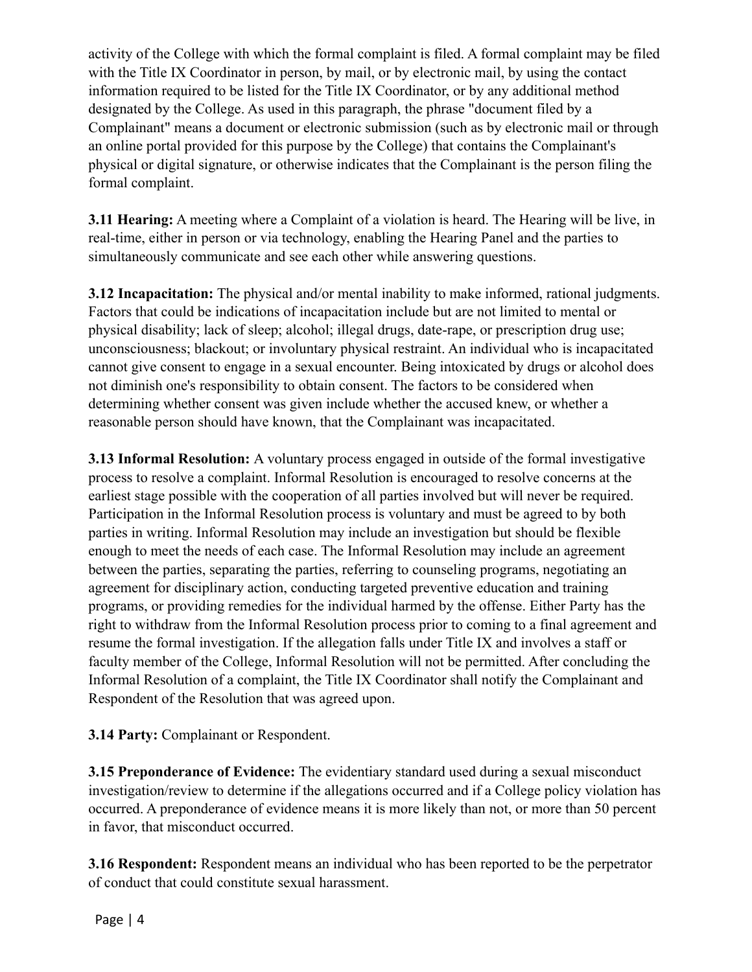activity of the College with which the formal complaint is filed. A formal complaint may be filed with the Title IX Coordinator in person, by mail, or by electronic mail, by using the contact information required to be listed for the Title IX Coordinator, or by any additional method designated by the College. As used in this paragraph, the phrase "document filed by a Complainant" means a document or electronic submission (such as by electronic mail or through an online portal provided for this purpose by the College) that contains the Complainant's physical or digital signature, or otherwise indicates that the Complainant is the person filing the formal complaint.

**3.11 Hearing:** A meeting where a Complaint of a violation is heard. The Hearing will be live, in real-time, either in person or via technology, enabling the Hearing Panel and the parties to simultaneously communicate and see each other while answering questions.

**3.12 Incapacitation:** The physical and/or mental inability to make informed, rational judgments. Factors that could be indications of incapacitation include but are not limited to mental or physical disability; lack of sleep; alcohol; illegal drugs, date-rape, or prescription drug use; unconsciousness; blackout; or involuntary physical restraint. An individual who is incapacitated cannot give consent to engage in a sexual encounter. Being intoxicated by drugs or alcohol does not diminish one's responsibility to obtain consent. The factors to be considered when determining whether consent was given include whether the accused knew, or whether a reasonable person should have known, that the Complainant was incapacitated.

**3.13 Informal Resolution:** A voluntary process engaged in outside of the formal investigative process to resolve a complaint. Informal Resolution is encouraged to resolve concerns at the earliest stage possible with the cooperation of all parties involved but will never be required. Participation in the Informal Resolution process is voluntary and must be agreed to by both parties in writing. Informal Resolution may include an investigation but should be flexible enough to meet the needs of each case. The Informal Resolution may include an agreement between the parties, separating the parties, referring to counseling programs, negotiating an agreement for disciplinary action, conducting targeted preventive education and training programs, or providing remedies for the individual harmed by the offense. Either Party has the right to withdraw from the Informal Resolution process prior to coming to a final agreement and resume the formal investigation. If the allegation falls under Title IX and involves a staff or faculty member of the College, Informal Resolution will not be permitted. After concluding the Informal Resolution of a complaint, the Title IX Coordinator shall notify the Complainant and Respondent of the Resolution that was agreed upon.

# **3.14 Party:** Complainant or Respondent.

**3.15 Preponderance of Evidence:** The evidentiary standard used during a sexual misconduct investigation/review to determine if the allegations occurred and if a College policy violation has occurred. A preponderance of evidence means it is more likely than not, or more than 50 percent in favor, that misconduct occurred.

**3.16 Respondent:** Respondent means an individual who has been reported to be the perpetrator of conduct that could constitute sexual harassment.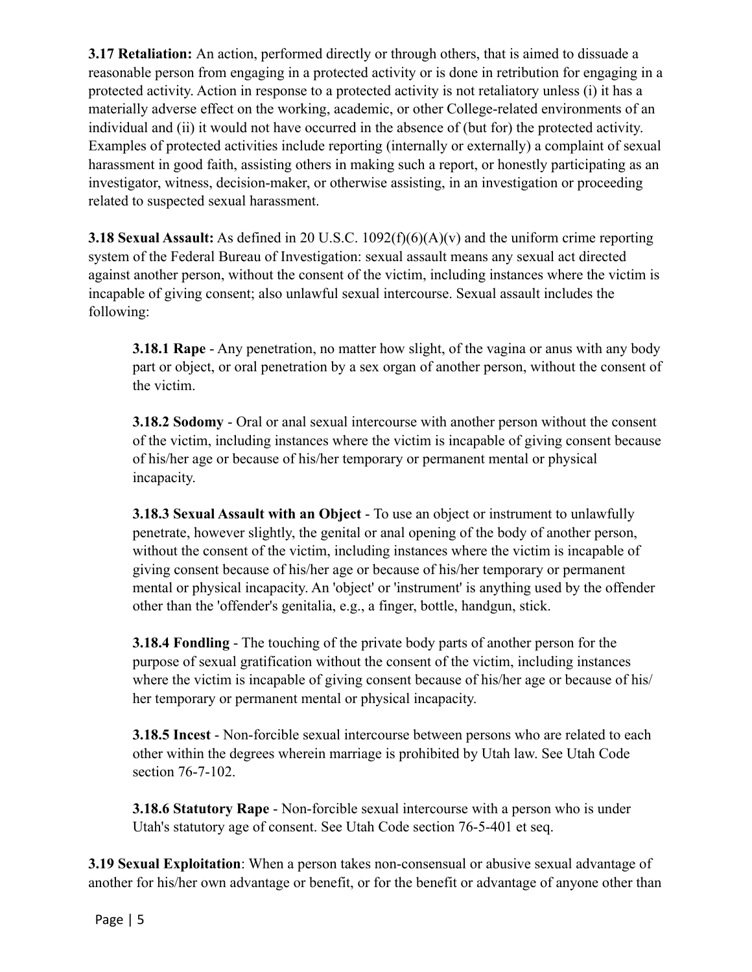**3.17 Retaliation:** An action, performed directly or through others, that is aimed to dissuade a reasonable person from engaging in a protected activity or is done in retribution for engaging in a protected activity. Action in response to a protected activity is not retaliatory unless (i) it has a materially adverse effect on the working, academic, or other College-related environments of an individual and (ii) it would not have occurred in the absence of (but for) the protected activity. Examples of protected activities include reporting (internally or externally) a complaint of sexual harassment in good faith, assisting others in making such a report, or honestly participating as an investigator, witness, decision-maker, or otherwise assisting, in an investigation or proceeding related to suspected sexual harassment.

**3.18 Sexual Assault:** As defined in 20 U.S.C. 1092(f)(6)(A)(v) and the uniform crime reporting system of the Federal Bureau of Investigation: sexual assault means any sexual act directed against another person, without the consent of the victim, including instances where the victim is incapable of giving consent; also unlawful sexual intercourse. Sexual assault includes the following:

**3.18.1 Rape** - Any penetration, no matter how slight, of the vagina or anus with any body part or object, or oral penetration by a sex organ of another person, without the consent of the victim.

**3.18.2 Sodomy** - Oral or anal sexual intercourse with another person without the consent of the victim, including instances where the victim is incapable of giving consent because of his/her age or because of his/her temporary or permanent mental or physical incapacity.

**3.18.3 Sexual Assault with an Object** - To use an object or instrument to unlawfully penetrate, however slightly, the genital or anal opening of the body of another person, without the consent of the victim, including instances where the victim is incapable of giving consent because of his/her age or because of his/her temporary or permanent mental or physical incapacity. An 'object' or 'instrument' is anything used by the offender other than the 'offender's genitalia, e.g., a finger, bottle, handgun, stick.

**3.18.4 Fondling** - The touching of the private body parts of another person for the purpose of sexual gratification without the consent of the victim, including instances where the victim is incapable of giving consent because of his/her age or because of his/ her temporary or permanent mental or physical incapacity.

**3.18.5 Incest** - Non-forcible sexual intercourse between persons who are related to each other within the degrees wherein marriage is prohibited by Utah law. See Utah Code section 76-7-102.

**3.18.6 Statutory Rape** - Non-forcible sexual intercourse with a person who is under Utah's statutory age of consent. See Utah Code section 76-5-401 et seq.

**3.19 Sexual Exploitation**: When a person takes non-consensual or abusive sexual advantage of another for his/her own advantage or benefit, or for the benefit or advantage of anyone other than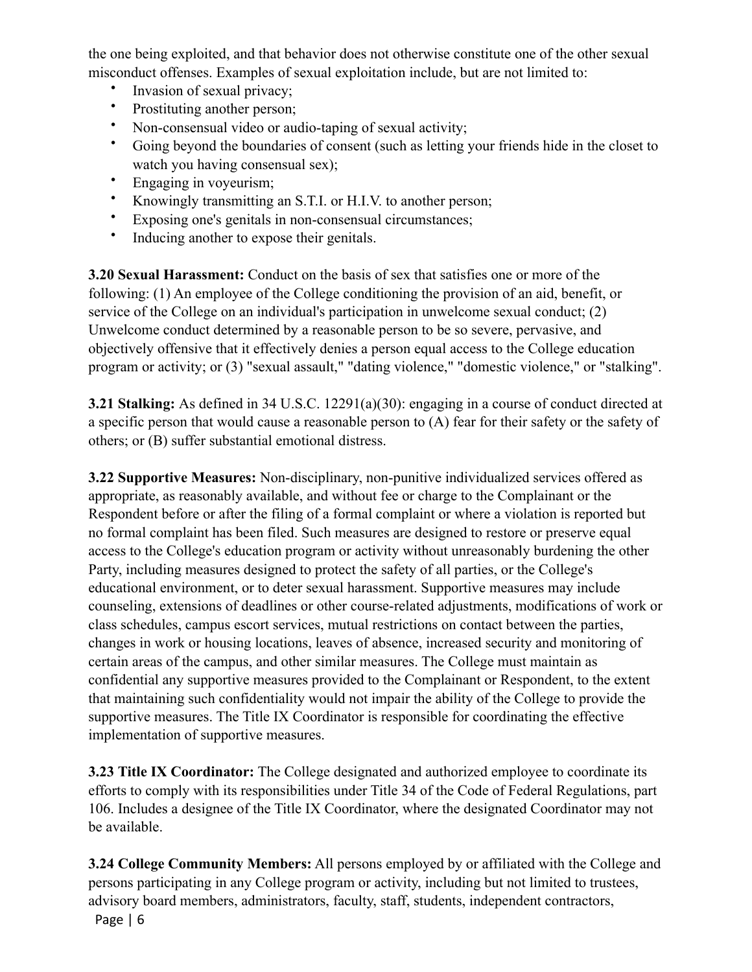the one being exploited, and that behavior does not otherwise constitute one of the other sexual misconduct offenses. Examples of sexual exploitation include, but are not limited to:

- Invasion of sexual privacy;
- Prostituting another person;
- Non-consensual video or audio-taping of sexual activity;
- Going beyond the boundaries of consent (such as letting your friends hide in the closet to watch you having consensual sex);
- Engaging in voyeurism;
- Knowingly transmitting an S.T.I. or H.I.V. to another person;
- Exposing one's genitals in non-consensual circumstances;
- Inducing another to expose their genitals.

**3.20 Sexual Harassment:** Conduct on the basis of sex that satisfies one or more of the following: (1) An employee of the College conditioning the provision of an aid, benefit, or service of the College on an individual's participation in unwelcome sexual conduct; (2) Unwelcome conduct determined by a reasonable person to be so severe, pervasive, and objectively offensive that it effectively denies a person equal access to the College education program or activity; or (3) "sexual assault," "dating violence," "domestic violence," or "stalking".

**3.21 Stalking:** As defined in 34 U.S.C. 12291(a)(30): engaging in a course of conduct directed at a specific person that would cause a reasonable person to (A) fear for their safety or the safety of others; or (B) suffer substantial emotional distress.

**3.22 Supportive Measures:** Non-disciplinary, non-punitive individualized services offered as appropriate, as reasonably available, and without fee or charge to the Complainant or the Respondent before or after the filing of a formal complaint or where a violation is reported but no formal complaint has been filed. Such measures are designed to restore or preserve equal access to the College's education program or activity without unreasonably burdening the other Party, including measures designed to protect the safety of all parties, or the College's educational environment, or to deter sexual harassment. Supportive measures may include counseling, extensions of deadlines or other course-related adjustments, modifications of work or class schedules, campus escort services, mutual restrictions on contact between the parties, changes in work or housing locations, leaves of absence, increased security and monitoring of certain areas of the campus, and other similar measures. The College must maintain as confidential any supportive measures provided to the Complainant or Respondent, to the extent that maintaining such confidentiality would not impair the ability of the College to provide the supportive measures. The Title IX Coordinator is responsible for coordinating the effective implementation of supportive measures.

**3.23 Title IX Coordinator:** The College designated and authorized employee to coordinate its efforts to comply with its responsibilities under Title 34 of the Code of Federal Regulations, part 106. Includes a designee of the Title IX Coordinator, where the designated Coordinator may not be available.

**3.24 College Community Members:** All persons employed by or affiliated with the College and persons participating in any College program or activity, including but not limited to trustees, advisory board members, administrators, faculty, staff, students, independent contractors,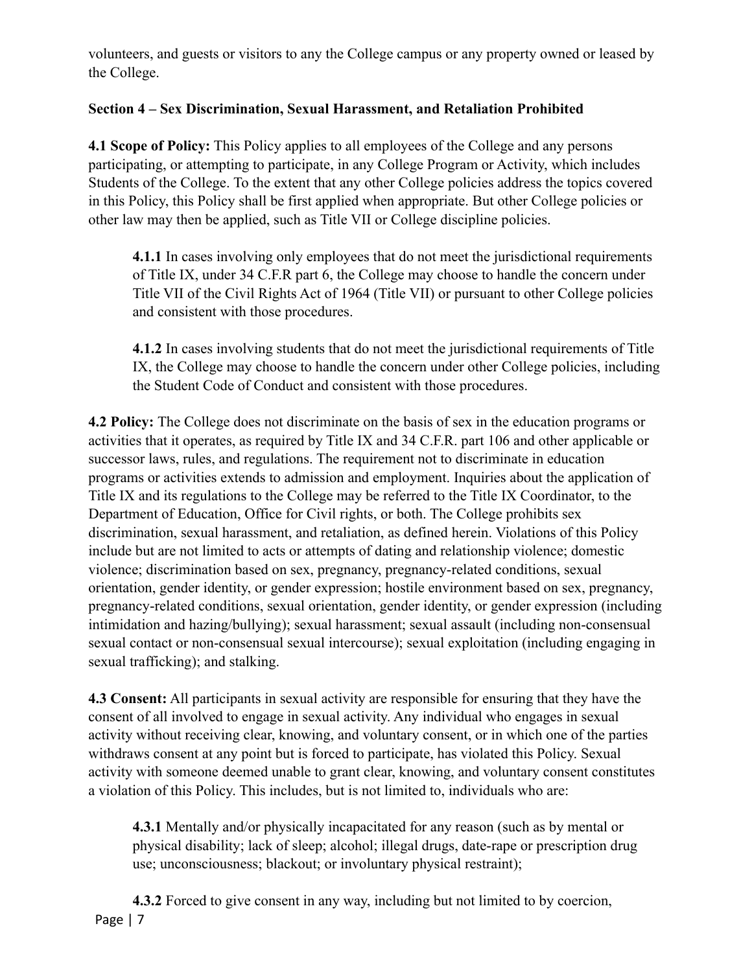volunteers, and guests or visitors to any the College campus or any property owned or leased by the College.

# **Section 4 – Sex Discrimination, Sexual Harassment, and Retaliation Prohibited**

**4.1 Scope of Policy:** This Policy applies to all employees of the College and any persons participating, or attempting to participate, in any College Program or Activity, which includes Students of the College. To the extent that any other College policies address the topics covered in this Policy, this Policy shall be first applied when appropriate. But other College policies or other law may then be applied, such as Title VII or College discipline policies.

**4.1.1** In cases involving only employees that do not meet the jurisdictional requirements of Title IX, under 34 C.F.R part 6, the College may choose to handle the concern under Title VII of the Civil Rights Act of 1964 (Title VII) or pursuant to other College policies and consistent with those procedures.

**4.1.2** In cases involving students that do not meet the jurisdictional requirements of Title IX, the College may choose to handle the concern under other College policies, including the Student Code of Conduct and consistent with those procedures.

**4.2 Policy:** The College does not discriminate on the basis of sex in the education programs or activities that it operates, as required by Title IX and 34 C.F.R. part 106 and other applicable or successor laws, rules, and regulations. The requirement not to discriminate in education programs or activities extends to admission and employment. Inquiries about the application of Title IX and its regulations to the College may be referred to the Title IX Coordinator, to the Department of Education, Office for Civil rights, or both. The College prohibits sex discrimination, sexual harassment, and retaliation, as defined herein. Violations of this Policy include but are not limited to acts or attempts of dating and relationship violence; domestic violence; discrimination based on sex, pregnancy, pregnancy-related conditions, sexual orientation, gender identity, or gender expression; hostile environment based on sex, pregnancy, pregnancy-related conditions, sexual orientation, gender identity, or gender expression (including intimidation and hazing/bullying); sexual harassment; sexual assault (including non-consensual sexual contact or non-consensual sexual intercourse); sexual exploitation (including engaging in sexual trafficking); and stalking.

**4.3 Consent:** All participants in sexual activity are responsible for ensuring that they have the consent of all involved to engage in sexual activity. Any individual who engages in sexual activity without receiving clear, knowing, and voluntary consent, or in which one of the parties withdraws consent at any point but is forced to participate, has violated this Policy. Sexual activity with someone deemed unable to grant clear, knowing, and voluntary consent constitutes a violation of this Policy. This includes, but is not limited to, individuals who are:

**4.3.1** Mentally and/or physically incapacitated for any reason (such as by mental or physical disability; lack of sleep; alcohol; illegal drugs, date-rape or prescription drug use; unconsciousness; blackout; or involuntary physical restraint);

**4.3.2** Forced to give consent in any way, including but not limited to by coercion, Page | 7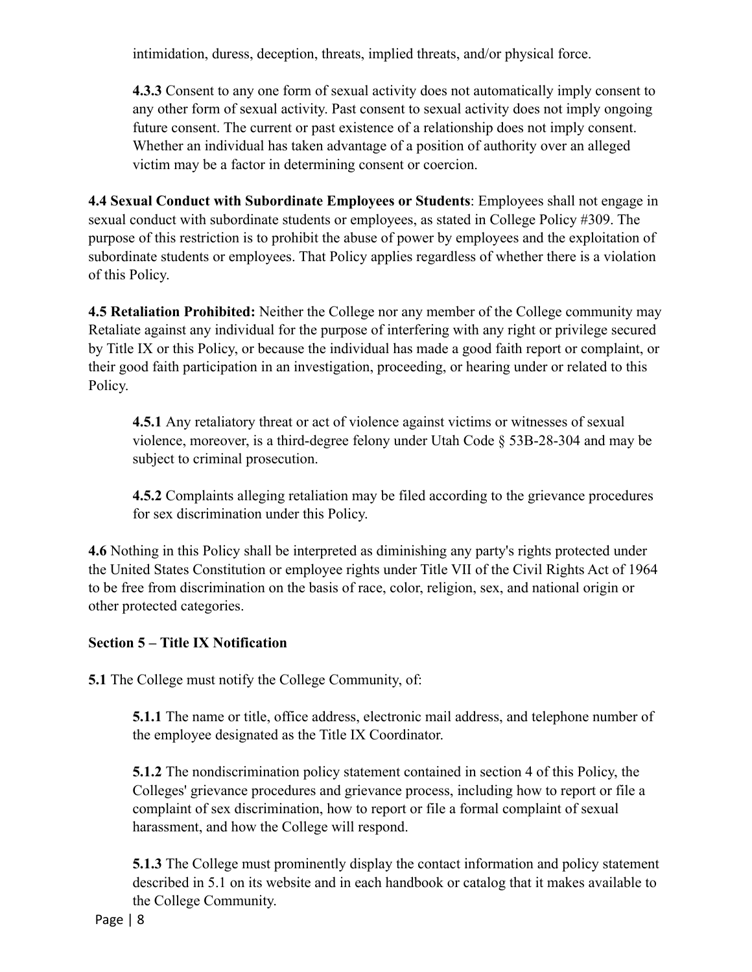intimidation, duress, deception, threats, implied threats, and/or physical force.

**4.3.3** Consent to any one form of sexual activity does not automatically imply consent to any other form of sexual activity. Past consent to sexual activity does not imply ongoing future consent. The current or past existence of a relationship does not imply consent. Whether an individual has taken advantage of a position of authority over an alleged victim may be a factor in determining consent or coercion.

**4.4 Sexual Conduct with Subordinate Employees or Students**: Employees shall not engage in sexual conduct with subordinate students or employees, as stated in College Policy #309. The purpose of this restriction is to prohibit the abuse of power by employees and the exploitation of subordinate students or employees. That Policy applies regardless of whether there is a violation of this Policy.

**4.5 Retaliation Prohibited:** Neither the College nor any member of the College community may Retaliate against any individual for the purpose of interfering with any right or privilege secured by Title IX or this Policy, or because the individual has made a good faith report or complaint, or their good faith participation in an investigation, proceeding, or hearing under or related to this Policy.

**4.5.1** Any retaliatory threat or act of violence against victims or witnesses of sexual violence, moreover, is a third-degree felony under Utah Code § 53B-28-304 and may be subject to criminal prosecution.

**4.5.2** Complaints alleging retaliation may be filed according to the grievance procedures for sex discrimination under this Policy.

**4.6** Nothing in this Policy shall be interpreted as diminishing any party's rights protected under the United States Constitution or employee rights under Title VII of the Civil Rights Act of 1964 to be free from discrimination on the basis of race, color, religion, sex, and national origin or other protected categories.

### **Section 5 – Title IX Notification**

**5.1** The College must notify the College Community, of:

**5.1.1** The name or title, office address, electronic mail address, and telephone number of the employee designated as the Title IX Coordinator.

**5.1.2** The nondiscrimination policy statement contained in section 4 of this Policy, the Colleges' grievance procedures and grievance process, including how to report or file a complaint of sex discrimination, how to report or file a formal complaint of sexual harassment, and how the College will respond.

**5.1.3** The College must prominently display the contact information and policy statement described in 5.1 on its website and in each handbook or catalog that it makes available to the College Community.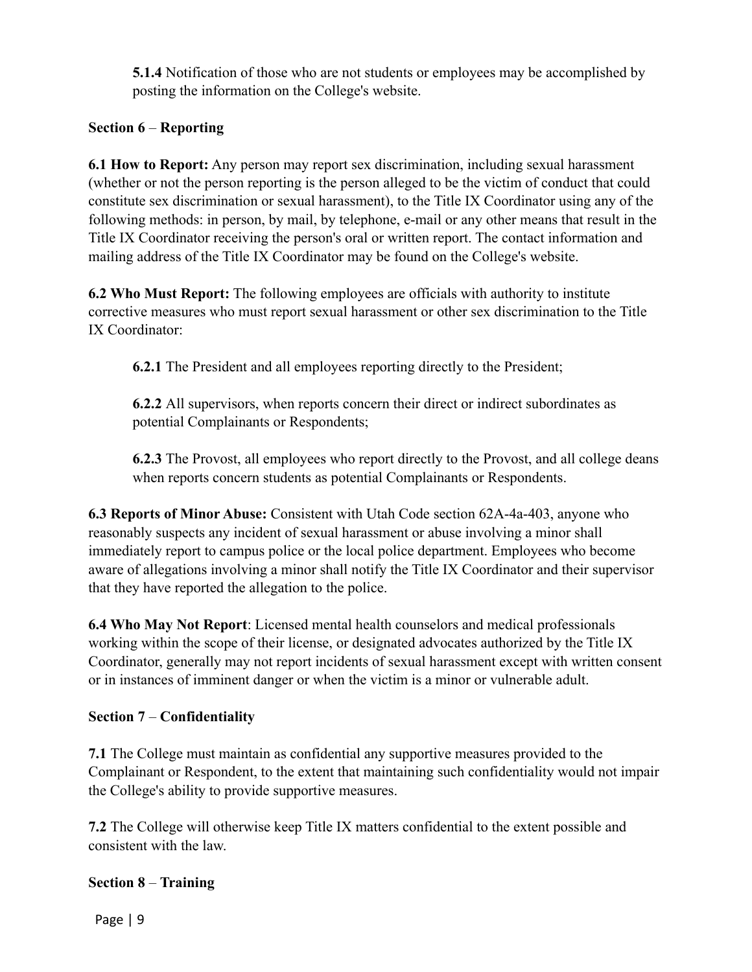**5.1.4** Notification of those who are not students or employees may be accomplished by posting the information on the College's website.

## **Section 6** – **Reporting**

**6.1 How to Report:** Any person may report sex discrimination, including sexual harassment (whether or not the person reporting is the person alleged to be the victim of conduct that could constitute sex discrimination or sexual harassment), to the Title IX Coordinator using any of the following methods: in person, by mail, by telephone, e-mail or any other means that result in the Title IX Coordinator receiving the person's oral or written report. The contact information and mailing address of the Title IX Coordinator may be found on the College's website.

**6.2 Who Must Report:** The following employees are officials with authority to institute corrective measures who must report sexual harassment or other sex discrimination to the Title IX Coordinator:

**6.2.1** The President and all employees reporting directly to the President;

**6.2.2** All supervisors, when reports concern their direct or indirect subordinates as potential Complainants or Respondents;

**6.2.3** The Provost, all employees who report directly to the Provost, and all college deans when reports concern students as potential Complainants or Respondents.

**6.3 Reports of Minor Abuse:** Consistent with Utah Code section 62A-4a-403, anyone who reasonably suspects any incident of sexual harassment or abuse involving a minor shall immediately report to campus police or the local police department. Employees who become aware of allegations involving a minor shall notify the Title IX Coordinator and their supervisor that they have reported the allegation to the police.

**6.4 Who May Not Report**: Licensed mental health counselors and medical professionals working within the scope of their license, or designated advocates authorized by the Title IX Coordinator, generally may not report incidents of sexual harassment except with written consent or in instances of imminent danger or when the victim is a minor or vulnerable adult.

### **Section 7** – **Confidentiality**

**7.1** The College must maintain as confidential any supportive measures provided to the Complainant or Respondent, to the extent that maintaining such confidentiality would not impair the College's ability to provide supportive measures.

**7.2** The College will otherwise keep Title IX matters confidential to the extent possible and consistent with the law.

### **Section 8** – **Training**

Page | 9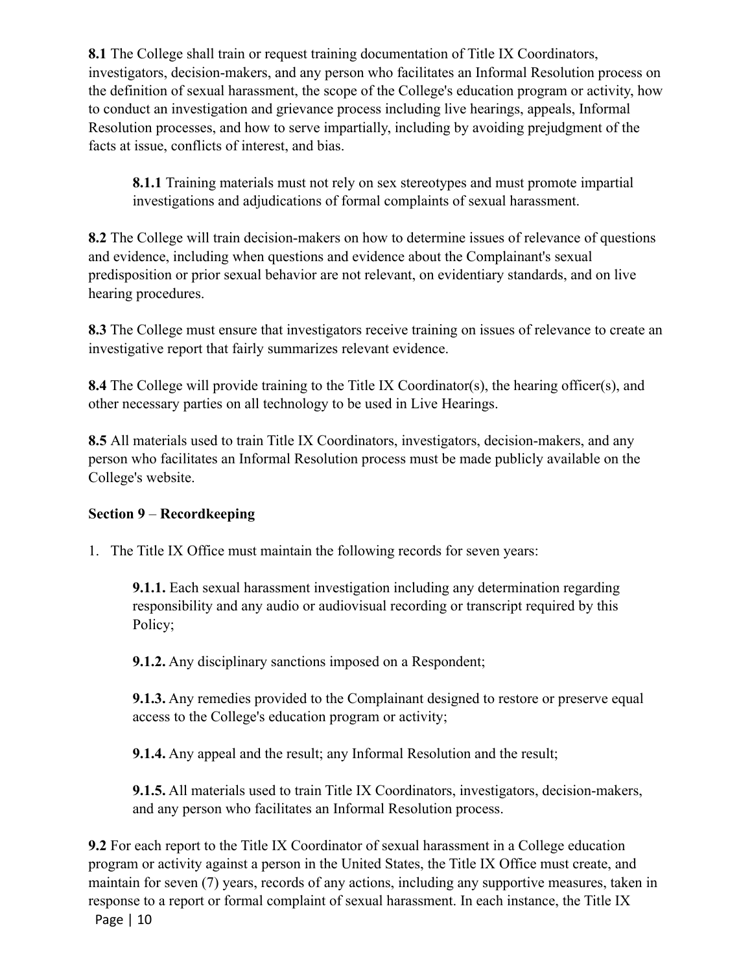8.1 The College shall train or request training documentation of Title IX Coordinators, investigators, decision-makers, and any person who facilitates an Informal Resolution process on the definition of sexual harassment, the scope of the College's education program or activity, how to conduct an investigation and grievance process including live hearings, appeals, Informal Resolution processes, and how to serve impartially, including by avoiding prejudgment of the facts at issue, conflicts of interest, and bias.

**8.1.1** Training materials must not rely on sex stereotypes and must promote impartial investigations and adjudications of formal complaints of sexual harassment.

**8.2** The College will train decision-makers on how to determine issues of relevance of questions and evidence, including when questions and evidence about the Complainant's sexual predisposition or prior sexual behavior are not relevant, on evidentiary standards, and on live hearing procedures.

**8.3** The College must ensure that investigators receive training on issues of relevance to create an investigative report that fairly summarizes relevant evidence.

**8.4** The College will provide training to the Title IX Coordinator(s), the hearing officer(s), and other necessary parties on all technology to be used in Live Hearings.

8.5 All materials used to train Title IX Coordinators, investigators, decision-makers, and any person who facilitates an Informal Resolution process must be made publicly available on the College's website.

# **Section 9** – **Recordkeeping**

1. The Title IX Office must maintain the following records for seven years:

**9.1.1.** Each sexual harassment investigation including any determination regarding responsibility and any audio or audiovisual recording or transcript required by this Policy;

**9.1.2.** Any disciplinary sanctions imposed on a Respondent;

**9.1.3.** Any remedies provided to the Complainant designed to restore or preserve equal access to the College's education program or activity;

**9.1.4.** Any appeal and the result; any Informal Resolution and the result;

**9.1.5.** All materials used to train Title IX Coordinators, investigators, decision-makers, and any person who facilitates an Informal Resolution process.

**9.2** For each report to the Title IX Coordinator of sexual harassment in a College education program or activity against a person in the United States, the Title IX Office must create, and maintain for seven (7) years, records of any actions, including any supportive measures, taken in response to a report or formal complaint of sexual harassment. In each instance, the Title IX Page | 10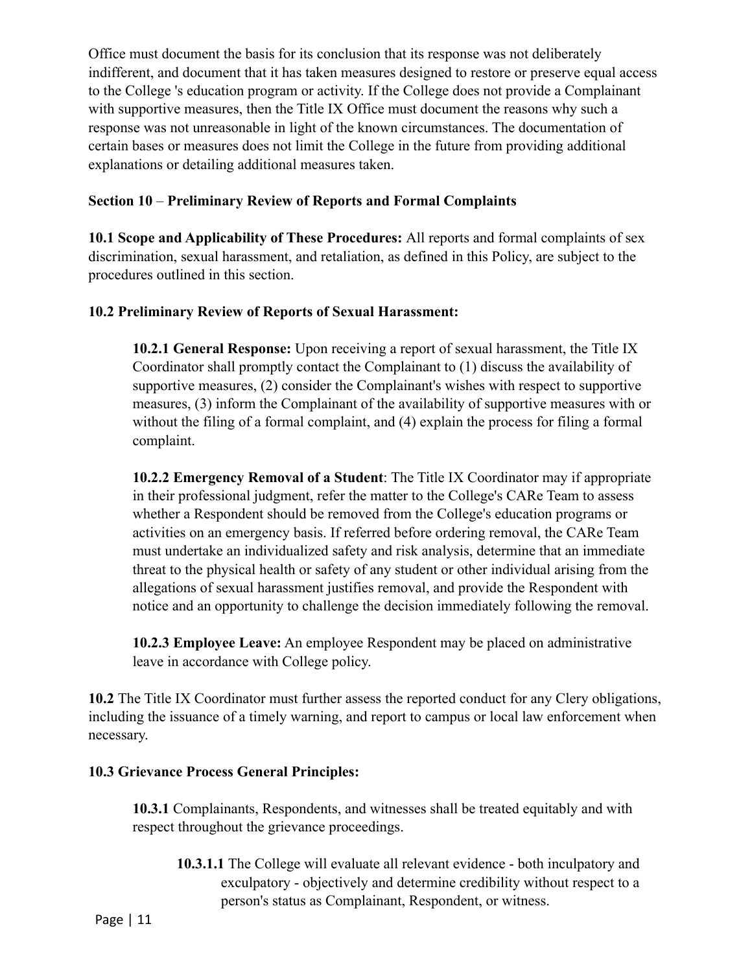Office must document the basis for its conclusion that its response was not deliberately indifferent, and document that it has taken measures designed to restore or preserve equal access to the College 's education program or activity. If the College does not provide a Complainant with supportive measures, then the Title IX Office must document the reasons why such a response was not unreasonable in light of the known circumstances. The documentation of certain bases or measures does not limit the College in the future from providing additional explanations or detailing additional measures taken.

## **Section 10** – **Preliminary Review of Reports and Formal Complaints**

**10.1 Scope and Applicability of These Procedures:** All reports and formal complaints of sex discrimination, sexual harassment, and retaliation, as defined in this Policy, are subject to the procedures outlined in this section.

# **10.2 Preliminary Review of Reports of Sexual Harassment:**

**10.2.1 General Response:** Upon receiving a report of sexual harassment, the Title IX Coordinator shall promptly contact the Complainant to (1) discuss the availability of supportive measures, (2) consider the Complainant's wishes with respect to supportive measures, (3) inform the Complainant of the availability of supportive measures with or without the filing of a formal complaint, and (4) explain the process for filing a formal complaint.

**10.2.2 Emergency Removal of a Student**: The Title IX Coordinator may if appropriate in their professional judgment, refer the matter to the College's CARe Team to assess whether a Respondent should be removed from the College's education programs or activities on an emergency basis. If referred before ordering removal, the CARe Team must undertake an individualized safety and risk analysis, determine that an immediate threat to the physical health or safety of any student or other individual arising from the allegations of sexual harassment justifies removal, and provide the Respondent with notice and an opportunity to challenge the decision immediately following the removal.

**10.2.3 Employee Leave:** An employee Respondent may be placed on administrative leave in accordance with College policy.

**10.2** The Title IX Coordinator must further assess the reported conduct for any Clery obligations, including the issuance of a timely warning, and report to campus or local law enforcement when necessary.

### **10.3 Grievance Process General Principles:**

**10.3.1** Complainants, Respondents, and witnesses shall be treated equitably and with respect throughout the grievance proceedings.

**10.3.1.1** The College will evaluate all relevant evidence - both inculpatory and exculpatory - objectively and determine credibility without respect to a person's status as Complainant, Respondent, or witness.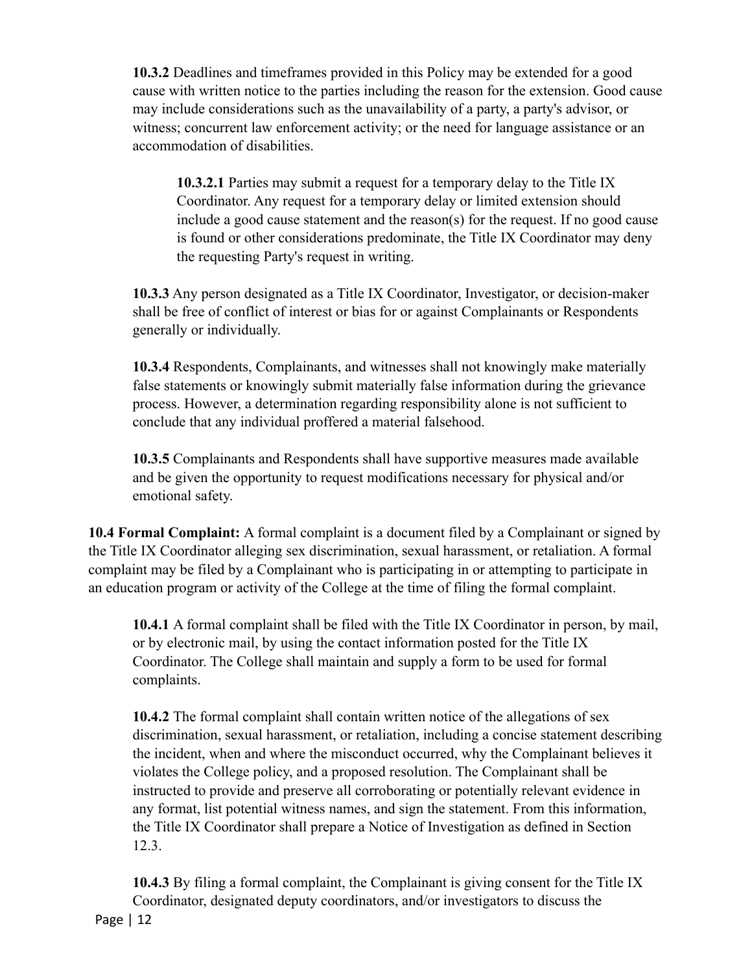**10.3.2** Deadlines and timeframes provided in this Policy may be extended for a good cause with written notice to the parties including the reason for the extension. Good cause may include considerations such as the unavailability of a party, a party's advisor, or witness; concurrent law enforcement activity; or the need for language assistance or an accommodation of disabilities.

**10.3.2.1** Parties may submit a request for a temporary delay to the Title IX Coordinator. Any request for a temporary delay or limited extension should include a good cause statement and the reason(s) for the request. If no good cause is found or other considerations predominate, the Title IX Coordinator may deny the requesting Party's request in writing.

**10.3.3** Any person designated as a Title IX Coordinator, Investigator, or decision-maker shall be free of conflict of interest or bias for or against Complainants or Respondents generally or individually.

**10.3.4** Respondents, Complainants, and witnesses shall not knowingly make materially false statements or knowingly submit materially false information during the grievance process. However, a determination regarding responsibility alone is not sufficient to conclude that any individual proffered a material falsehood.

**10.3.5** Complainants and Respondents shall have supportive measures made available and be given the opportunity to request modifications necessary for physical and/or emotional safety.

**10.4 Formal Complaint:** A formal complaint is a document filed by a Complainant or signed by the Title IX Coordinator alleging sex discrimination, sexual harassment, or retaliation. A formal complaint may be filed by a Complainant who is participating in or attempting to participate in an education program or activity of the College at the time of filing the formal complaint.

**10.4.1** A formal complaint shall be filed with the Title IX Coordinator in person, by mail, or by electronic mail, by using the contact information posted for the Title IX Coordinator. The College shall maintain and supply a form to be used for formal complaints.

**10.4.2** The formal complaint shall contain written notice of the allegations of sex discrimination, sexual harassment, or retaliation, including a concise statement describing the incident, when and where the misconduct occurred, why the Complainant believes it violates the College policy, and a proposed resolution. The Complainant shall be instructed to provide and preserve all corroborating or potentially relevant evidence in any format, list potential witness names, and sign the statement. From this information, the Title IX Coordinator shall prepare a Notice of Investigation as defined in Section 12.3.

**10.4.3** By filing a formal complaint, the Complainant is giving consent for the Title IX Coordinator, designated deputy coordinators, and/or investigators to discuss the Page | 12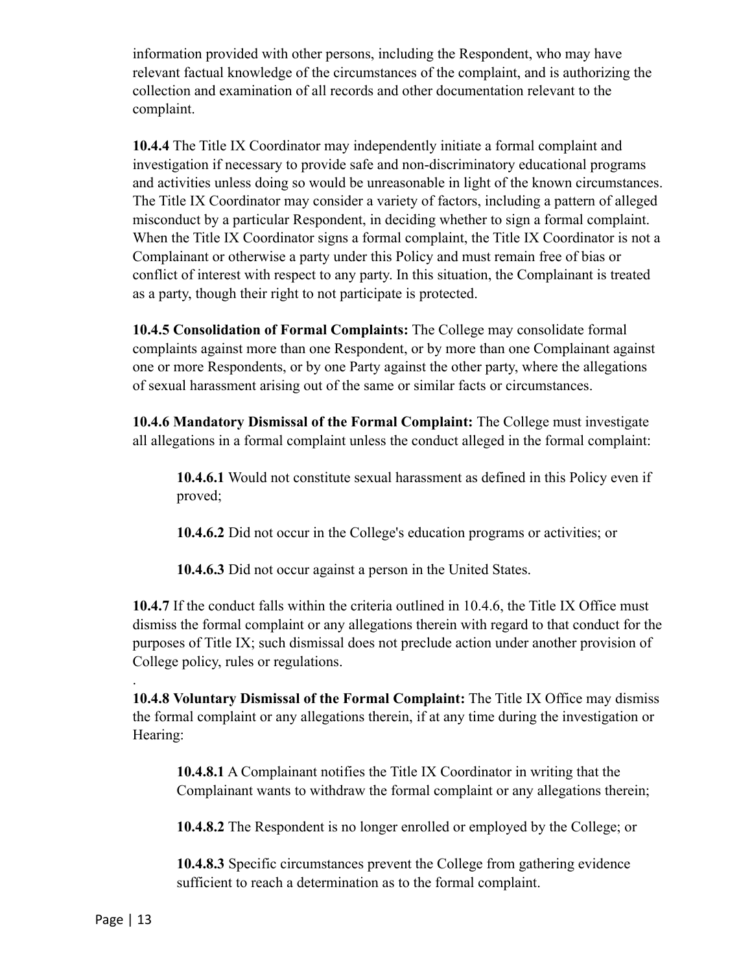information provided with other persons, including the Respondent, who may have relevant factual knowledge of the circumstances of the complaint, and is authorizing the collection and examination of all records and other documentation relevant to the complaint.

**10.4.4** The Title IX Coordinator may independently initiate a formal complaint and investigation if necessary to provide safe and non-discriminatory educational programs and activities unless doing so would be unreasonable in light of the known circumstances. The Title IX Coordinator may consider a variety of factors, including a pattern of alleged misconduct by a particular Respondent, in deciding whether to sign a formal complaint. When the Title IX Coordinator signs a formal complaint, the Title IX Coordinator is not a Complainant or otherwise a party under this Policy and must remain free of bias or conflict of interest with respect to any party. In this situation, the Complainant is treated as a party, though their right to not participate is protected.

**10.4.5 Consolidation of Formal Complaints:** The College may consolidate formal complaints against more than one Respondent, or by more than one Complainant against one or more Respondents, or by one Party against the other party, where the allegations of sexual harassment arising out of the same or similar facts or circumstances.

**10.4.6 Mandatory Dismissal of the Formal Complaint:** The College must investigate all allegations in a formal complaint unless the conduct alleged in the formal complaint:

**10.4.6.1** Would not constitute sexual harassment as defined in this Policy even if proved;

**10.4.6.2** Did not occur in the College's education programs or activities; or

**10.4.6.3** Did not occur against a person in the United States.

**10.4.7** If the conduct falls within the criteria outlined in 10.4.6, the Title IX Office must dismiss the formal complaint or any allegations therein with regard to that conduct for the purposes of Title IX; such dismissal does not preclude action under another provision of College policy, rules or regulations.

**10.4.8 Voluntary Dismissal of the Formal Complaint:** The Title IX Office may dismiss the formal complaint or any allegations therein, if at any time during the investigation or Hearing:

**10.4.8.1** A Complainant notifies the Title IX Coordinator in writing that the Complainant wants to withdraw the formal complaint or any allegations therein;

**10.4.8.2** The Respondent is no longer enrolled or employed by the College; or

**10.4.8.3** Specific circumstances prevent the College from gathering evidence sufficient to reach a determination as to the formal complaint.

.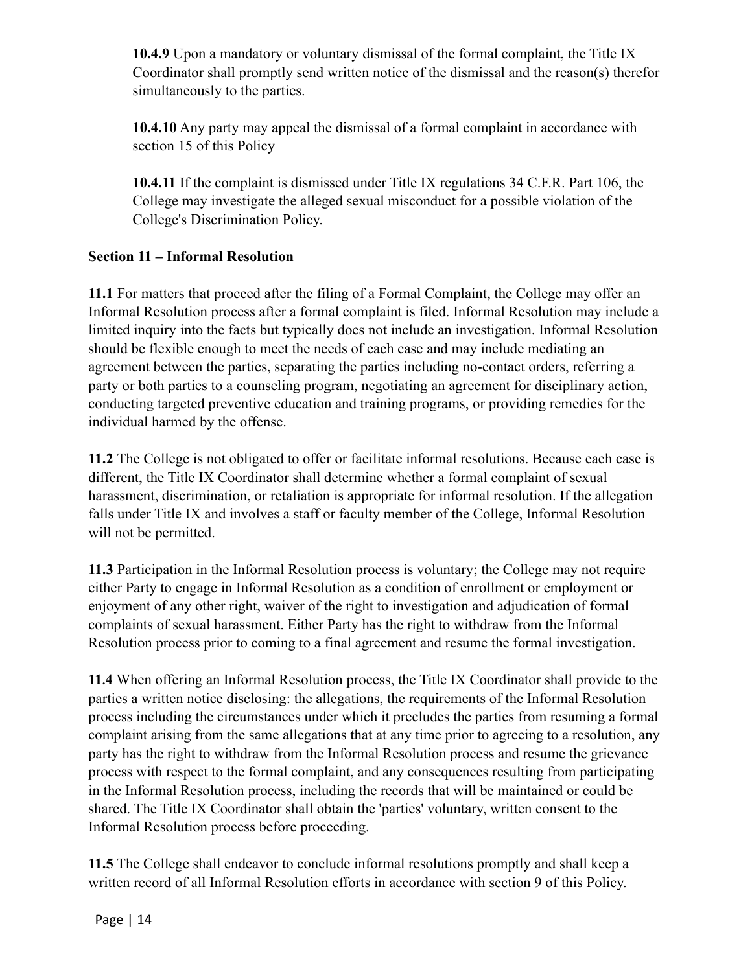**10.4.9** Upon a mandatory or voluntary dismissal of the formal complaint, the Title IX Coordinator shall promptly send written notice of the dismissal and the reason(s) therefor simultaneously to the parties.

**10.4.10** Any party may appeal the dismissal of a formal complaint in accordance with section 15 of this Policy

**10.4.11** If the complaint is dismissed under Title IX regulations 34 C.F.R. Part 106, the College may investigate the alleged sexual misconduct for a possible violation of the College's Discrimination Policy.

## **Section 11 – Informal Resolution**

**11.1** For matters that proceed after the filing of a Formal Complaint, the College may offer an Informal Resolution process after a formal complaint is filed. Informal Resolution may include a limited inquiry into the facts but typically does not include an investigation. Informal Resolution should be flexible enough to meet the needs of each case and may include mediating an agreement between the parties, separating the parties including no-contact orders, referring a party or both parties to a counseling program, negotiating an agreement for disciplinary action, conducting targeted preventive education and training programs, or providing remedies for the individual harmed by the offense.

**11.2** The College is not obligated to offer or facilitate informal resolutions. Because each case is different, the Title IX Coordinator shall determine whether a formal complaint of sexual harassment, discrimination, or retaliation is appropriate for informal resolution. If the allegation falls under Title IX and involves a staff or faculty member of the College, Informal Resolution will not be permitted.

**11.3** Participation in the Informal Resolution process is voluntary; the College may not require either Party to engage in Informal Resolution as a condition of enrollment or employment or enjoyment of any other right, waiver of the right to investigation and adjudication of formal complaints of sexual harassment. Either Party has the right to withdraw from the Informal Resolution process prior to coming to a final agreement and resume the formal investigation.

**11.4** When offering an Informal Resolution process, the Title IX Coordinator shall provide to the parties a written notice disclosing: the allegations, the requirements of the Informal Resolution process including the circumstances under which it precludes the parties from resuming a formal complaint arising from the same allegations that at any time prior to agreeing to a resolution, any party has the right to withdraw from the Informal Resolution process and resume the grievance process with respect to the formal complaint, and any consequences resulting from participating in the Informal Resolution process, including the records that will be maintained or could be shared. The Title IX Coordinator shall obtain the 'parties' voluntary, written consent to the Informal Resolution process before proceeding.

**11.5** The College shall endeavor to conclude informal resolutions promptly and shall keep a written record of all Informal Resolution efforts in accordance with section 9 of this Policy.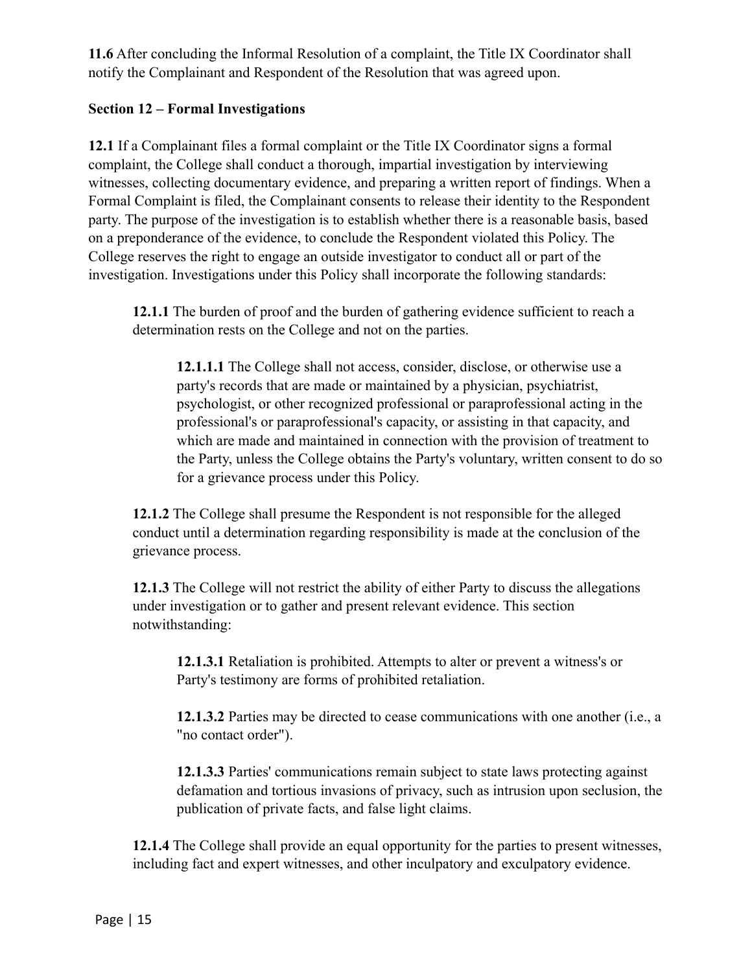**11.6** After concluding the Informal Resolution of a complaint, the Title IX Coordinator shall notify the Complainant and Respondent of the Resolution that was agreed upon.

### **Section 12 – Formal Investigations**

**12.1** If a Complainant files a formal complaint or the Title IX Coordinator signs a formal complaint, the College shall conduct a thorough, impartial investigation by interviewing witnesses, collecting documentary evidence, and preparing a written report of findings. When a Formal Complaint is filed, the Complainant consents to release their identity to the Respondent party. The purpose of the investigation is to establish whether there is a reasonable basis, based on a preponderance of the evidence, to conclude the Respondent violated this Policy. The College reserves the right to engage an outside investigator to conduct all or part of the investigation. Investigations under this Policy shall incorporate the following standards:

**12.1.1** The burden of proof and the burden of gathering evidence sufficient to reach a determination rests on the College and not on the parties.

**12.1.1.1** The College shall not access, consider, disclose, or otherwise use a party's records that are made or maintained by a physician, psychiatrist, psychologist, or other recognized professional or paraprofessional acting in the professional's or paraprofessional's capacity, or assisting in that capacity, and which are made and maintained in connection with the provision of treatment to the Party, unless the College obtains the Party's voluntary, written consent to do so for a grievance process under this Policy.

**12.1.2** The College shall presume the Respondent is not responsible for the alleged conduct until a determination regarding responsibility is made at the conclusion of the grievance process.

**12.1.3** The College will not restrict the ability of either Party to discuss the allegations under investigation or to gather and present relevant evidence. This section notwithstanding:

**12.1.3.1** Retaliation is prohibited. Attempts to alter or prevent a witness's or Party's testimony are forms of prohibited retaliation.

**12.1.3.2** Parties may be directed to cease communications with one another (i.e., a "no contact order").

**12.1.3.3** Parties' communications remain subject to state laws protecting against defamation and tortious invasions of privacy, such as intrusion upon seclusion, the publication of private facts, and false light claims.

**12.1.4** The College shall provide an equal opportunity for the parties to present witnesses, including fact and expert witnesses, and other inculpatory and exculpatory evidence.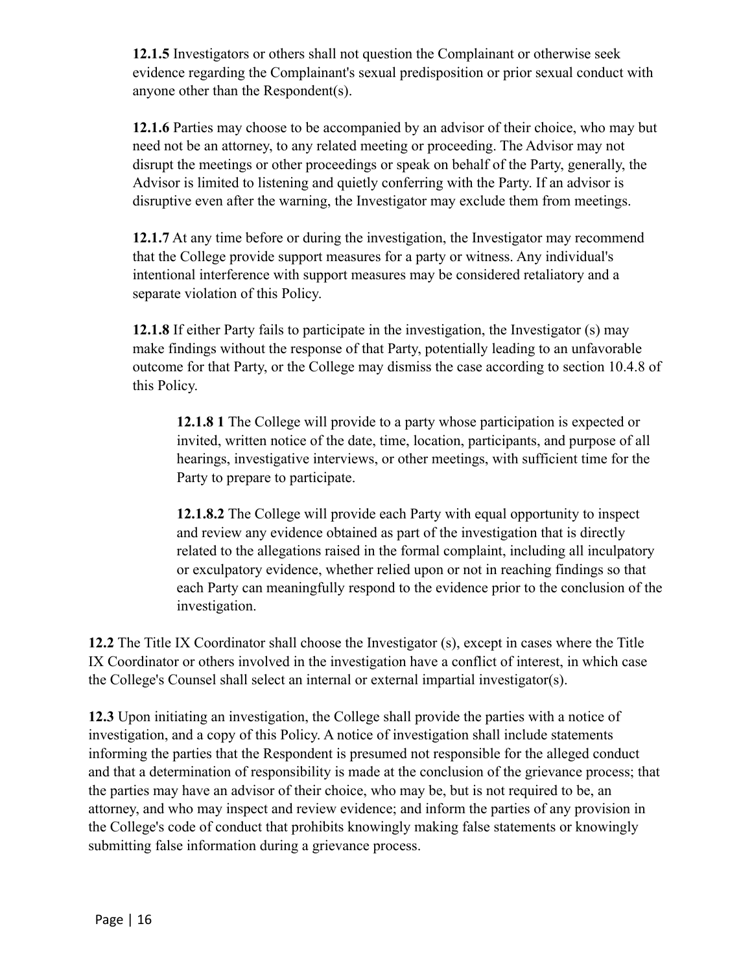**12.1.5** Investigators or others shall not question the Complainant or otherwise seek evidence regarding the Complainant's sexual predisposition or prior sexual conduct with anyone other than the Respondent(s).

**12.1.6** Parties may choose to be accompanied by an advisor of their choice, who may but need not be an attorney, to any related meeting or proceeding. The Advisor may not disrupt the meetings or other proceedings or speak on behalf of the Party, generally, the Advisor is limited to listening and quietly conferring with the Party. If an advisor is disruptive even after the warning, the Investigator may exclude them from meetings.

**12.1.7** At any time before or during the investigation, the Investigator may recommend that the College provide support measures for a party or witness. Any individual's intentional interference with support measures may be considered retaliatory and a separate violation of this Policy.

**12.1.8** If either Party fails to participate in the investigation, the Investigator (s) may make findings without the response of that Party, potentially leading to an unfavorable outcome for that Party, or the College may dismiss the case according to section 10.4.8 of this Policy.

**12.1.8 1** The College will provide to a party whose participation is expected or invited, written notice of the date, time, location, participants, and purpose of all hearings, investigative interviews, or other meetings, with sufficient time for the Party to prepare to participate.

**12.1.8.2** The College will provide each Party with equal opportunity to inspect and review any evidence obtained as part of the investigation that is directly related to the allegations raised in the formal complaint, including all inculpatory or exculpatory evidence, whether relied upon or not in reaching findings so that each Party can meaningfully respond to the evidence prior to the conclusion of the investigation.

**12.2** The Title IX Coordinator shall choose the Investigator (s), except in cases where the Title IX Coordinator or others involved in the investigation have a conflict of interest, in which case the College's Counsel shall select an internal or external impartial investigator(s).

**12.3** Upon initiating an investigation, the College shall provide the parties with a notice of investigation, and a copy of this Policy. A notice of investigation shall include statements informing the parties that the Respondent is presumed not responsible for the alleged conduct and that a determination of responsibility is made at the conclusion of the grievance process; that the parties may have an advisor of their choice, who may be, but is not required to be, an attorney, and who may inspect and review evidence; and inform the parties of any provision in the College's code of conduct that prohibits knowingly making false statements or knowingly submitting false information during a grievance process.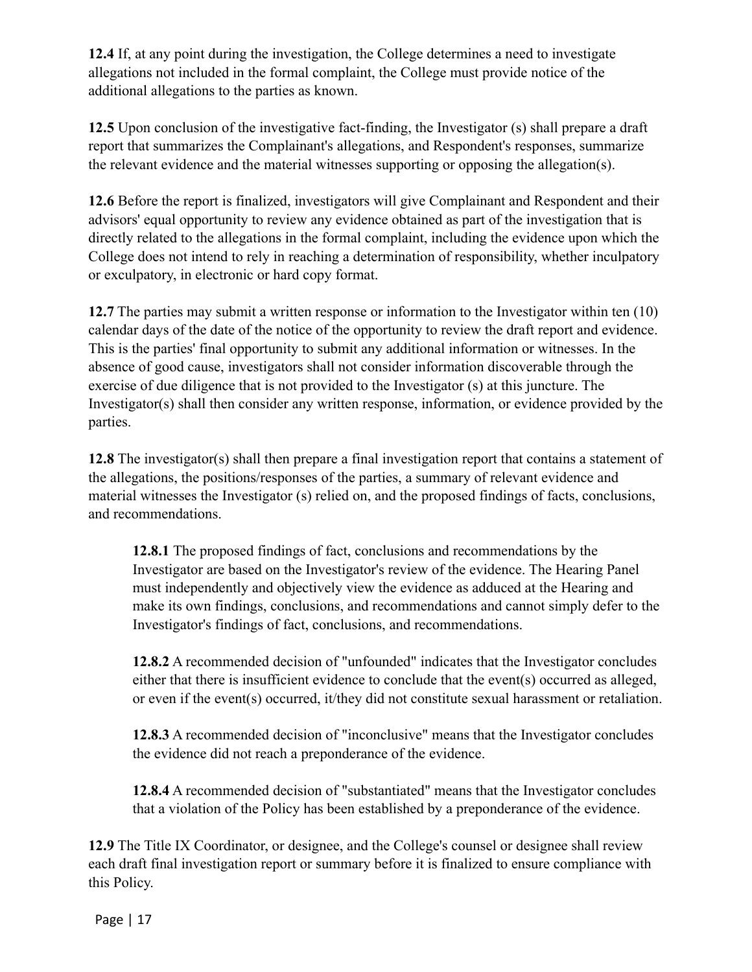**12.4** If, at any point during the investigation, the College determines a need to investigate allegations not included in the formal complaint, the College must provide notice of the additional allegations to the parties as known.

**12.5** Upon conclusion of the investigative fact-finding, the Investigator (s) shall prepare a draft report that summarizes the Complainant's allegations, and Respondent's responses, summarize the relevant evidence and the material witnesses supporting or opposing the allegation(s).

**12.6** Before the report is finalized, investigators will give Complainant and Respondent and their advisors' equal opportunity to review any evidence obtained as part of the investigation that is directly related to the allegations in the formal complaint, including the evidence upon which the College does not intend to rely in reaching a determination of responsibility, whether inculpatory or exculpatory, in electronic or hard copy format.

**12.7** The parties may submit a written response or information to the Investigator within ten (10) calendar days of the date of the notice of the opportunity to review the draft report and evidence. This is the parties' final opportunity to submit any additional information or witnesses. In the absence of good cause, investigators shall not consider information discoverable through the exercise of due diligence that is not provided to the Investigator (s) at this juncture. The Investigator(s) shall then consider any written response, information, or evidence provided by the parties.

**12.8** The investigator(s) shall then prepare a final investigation report that contains a statement of the allegations, the positions/responses of the parties, a summary of relevant evidence and material witnesses the Investigator (s) relied on, and the proposed findings of facts, conclusions, and recommendations.

**12.8.1** The proposed findings of fact, conclusions and recommendations by the Investigator are based on the Investigator's review of the evidence. The Hearing Panel must independently and objectively view the evidence as adduced at the Hearing and make its own findings, conclusions, and recommendations and cannot simply defer to the Investigator's findings of fact, conclusions, and recommendations.

**12.8.2** A recommended decision of "unfounded" indicates that the Investigator concludes either that there is insufficient evidence to conclude that the event(s) occurred as alleged, or even if the event(s) occurred, it/they did not constitute sexual harassment or retaliation.

**12.8.3** A recommended decision of "inconclusive" means that the Investigator concludes the evidence did not reach a preponderance of the evidence.

**12.8.4** A recommended decision of "substantiated" means that the Investigator concludes that a violation of the Policy has been established by a preponderance of the evidence.

**12.9** The Title IX Coordinator, or designee, and the College's counsel or designee shall review each draft final investigation report or summary before it is finalized to ensure compliance with this Policy.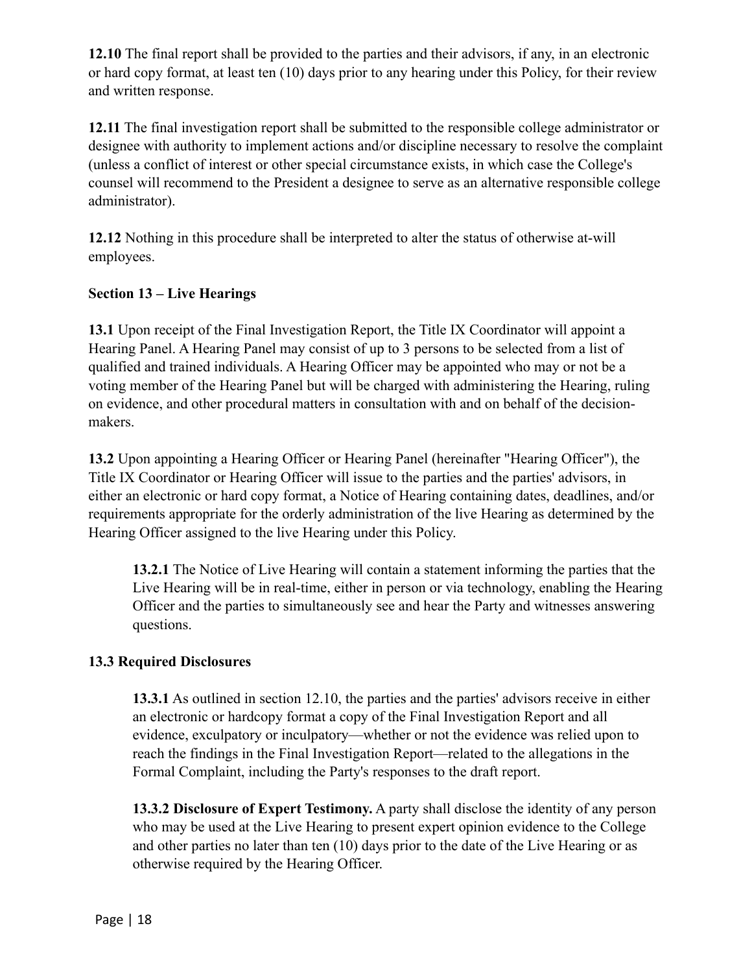**12.10** The final report shall be provided to the parties and their advisors, if any, in an electronic or hard copy format, at least ten (10) days prior to any hearing under this Policy, for their review and written response.

**12.11** The final investigation report shall be submitted to the responsible college administrator or designee with authority to implement actions and/or discipline necessary to resolve the complaint (unless a conflict of interest or other special circumstance exists, in which case the College's counsel will recommend to the President a designee to serve as an alternative responsible college administrator).

**12.12** Nothing in this procedure shall be interpreted to alter the status of otherwise at-will employees.

## **Section 13 – Live Hearings**

**13.1** Upon receipt of the Final Investigation Report, the Title IX Coordinator will appoint a Hearing Panel. A Hearing Panel may consist of up to 3 persons to be selected from a list of qualified and trained individuals. A Hearing Officer may be appointed who may or not be a voting member of the Hearing Panel but will be charged with administering the Hearing, ruling on evidence, and other procedural matters in consultation with and on behalf of the decisionmakers.

**13.2** Upon appointing a Hearing Officer or Hearing Panel (hereinafter "Hearing Officer"), the Title IX Coordinator or Hearing Officer will issue to the parties and the parties' advisors, in either an electronic or hard copy format, a Notice of Hearing containing dates, deadlines, and/or requirements appropriate for the orderly administration of the live Hearing as determined by the Hearing Officer assigned to the live Hearing under this Policy.

**13.2.1** The Notice of Live Hearing will contain a statement informing the parties that the Live Hearing will be in real-time, either in person or via technology, enabling the Hearing Officer and the parties to simultaneously see and hear the Party and witnesses answering questions.

### **13.3 Required Disclosures**

**13.3.1** As outlined in section 12.10, the parties and the parties' advisors receive in either an electronic or hardcopy format a copy of the Final Investigation Report and all evidence, exculpatory or inculpatory—whether or not the evidence was relied upon to reach the findings in the Final Investigation Report—related to the allegations in the Formal Complaint, including the Party's responses to the draft report.

**13.3.2 Disclosure of Expert Testimony.** A party shall disclose the identity of any person who may be used at the Live Hearing to present expert opinion evidence to the College and other parties no later than ten (10) days prior to the date of the Live Hearing or as otherwise required by the Hearing Officer.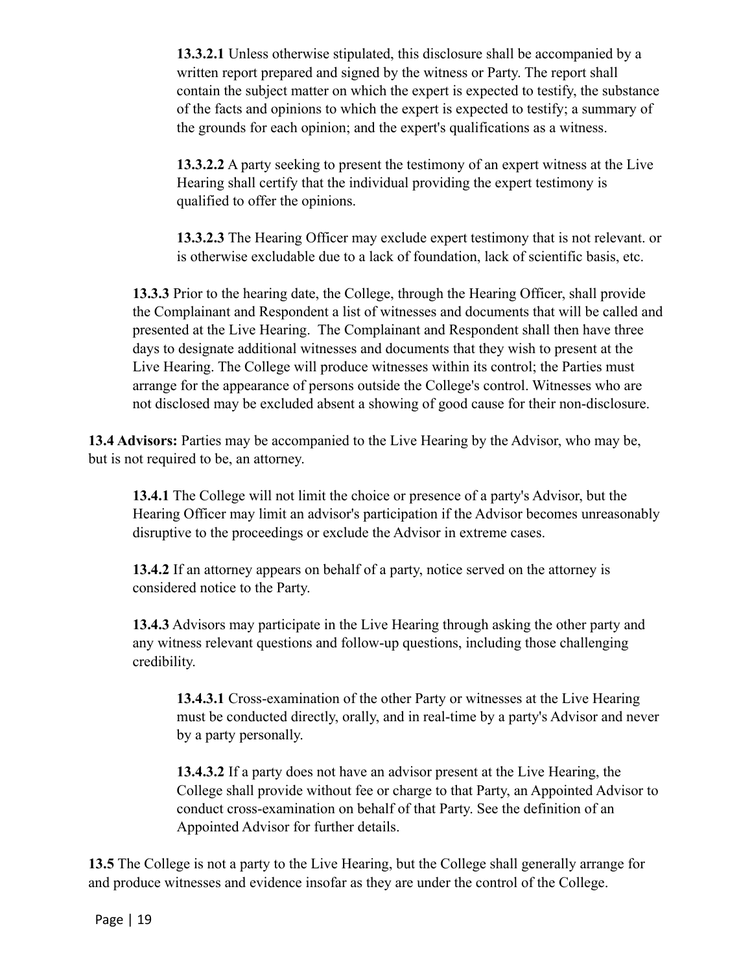**13.3.2.1** Unless otherwise stipulated, this disclosure shall be accompanied by a written report prepared and signed by the witness or Party. The report shall contain the subject matter on which the expert is expected to testify, the substance of the facts and opinions to which the expert is expected to testify; a summary of the grounds for each opinion; and the expert's qualifications as a witness.

**13.3.2.2** A party seeking to present the testimony of an expert witness at the Live Hearing shall certify that the individual providing the expert testimony is qualified to offer the opinions.

**13.3.2.3** The Hearing Officer may exclude expert testimony that is not relevant. or is otherwise excludable due to a lack of foundation, lack of scientific basis, etc.

**13.3.3** Prior to the hearing date, the College, through the Hearing Officer, shall provide the Complainant and Respondent a list of witnesses and documents that will be called and presented at the Live Hearing. The Complainant and Respondent shall then have three days to designate additional witnesses and documents that they wish to present at the Live Hearing. The College will produce witnesses within its control; the Parties must arrange for the appearance of persons outside the College's control. Witnesses who are not disclosed may be excluded absent a showing of good cause for their non-disclosure.

**13.4 Advisors:** Parties may be accompanied to the Live Hearing by the Advisor, who may be, but is not required to be, an attorney.

**13.4.1** The College will not limit the choice or presence of a party's Advisor, but the Hearing Officer may limit an advisor's participation if the Advisor becomes unreasonably disruptive to the proceedings or exclude the Advisor in extreme cases.

**13.4.2** If an attorney appears on behalf of a party, notice served on the attorney is considered notice to the Party.

**13.4.3** Advisors may participate in the Live Hearing through asking the other party and any witness relevant questions and follow-up questions, including those challenging credibility.

**13.4.3.1** Cross-examination of the other Party or witnesses at the Live Hearing must be conducted directly, orally, and in real-time by a party's Advisor and never by a party personally.

**13.4.3.2** If a party does not have an advisor present at the Live Hearing, the College shall provide without fee or charge to that Party, an Appointed Advisor to conduct cross-examination on behalf of that Party. See the definition of an Appointed Advisor for further details.

**13.5** The College is not a party to the Live Hearing, but the College shall generally arrange for and produce witnesses and evidence insofar as they are under the control of the College.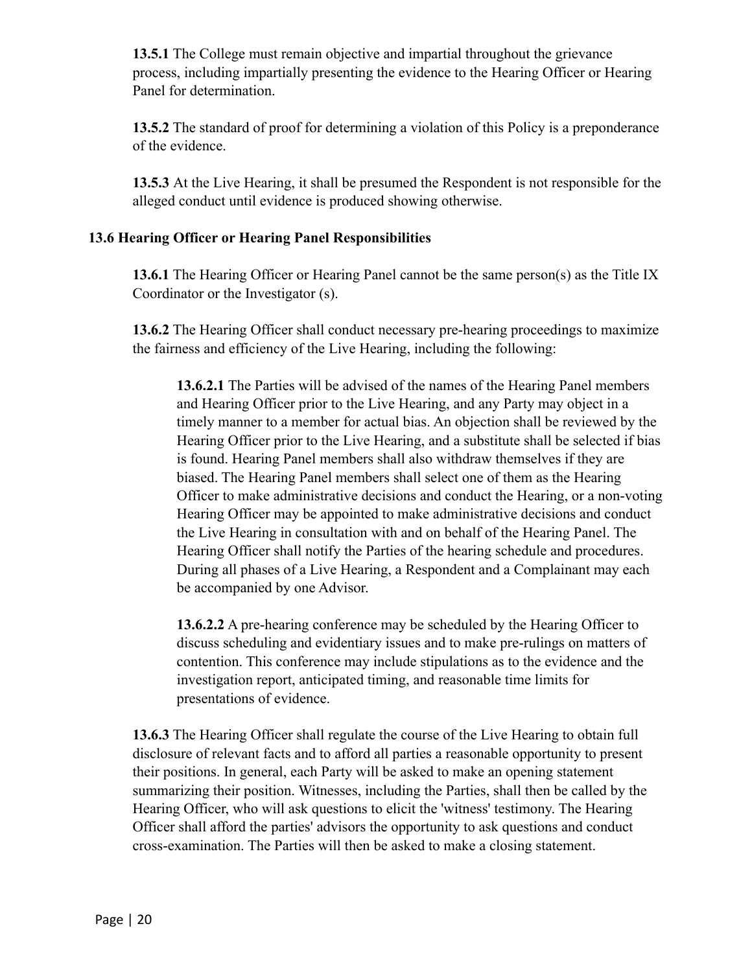**13.5.1** The College must remain objective and impartial throughout the grievance process, including impartially presenting the evidence to the Hearing Officer or Hearing Panel for determination.

**13.5.2** The standard of proof for determining a violation of this Policy is a preponderance of the evidence.

**13.5.3** At the Live Hearing, it shall be presumed the Respondent is not responsible for the alleged conduct until evidence is produced showing otherwise.

### **13.6 Hearing Officer or Hearing Panel Responsibilities**

**13.6.1** The Hearing Officer or Hearing Panel cannot be the same person(s) as the Title IX Coordinator or the Investigator (s).

**13.6.2** The Hearing Officer shall conduct necessary pre-hearing proceedings to maximize the fairness and efficiency of the Live Hearing, including the following:

**13.6.2.1** The Parties will be advised of the names of the Hearing Panel members and Hearing Officer prior to the Live Hearing, and any Party may object in a timely manner to a member for actual bias. An objection shall be reviewed by the Hearing Officer prior to the Live Hearing, and a substitute shall be selected if bias is found. Hearing Panel members shall also withdraw themselves if they are biased. The Hearing Panel members shall select one of them as the Hearing Officer to make administrative decisions and conduct the Hearing, or a non-voting Hearing Officer may be appointed to make administrative decisions and conduct the Live Hearing in consultation with and on behalf of the Hearing Panel. The Hearing Officer shall notify the Parties of the hearing schedule and procedures. During all phases of a Live Hearing, a Respondent and a Complainant may each be accompanied by one Advisor.

**13.6.2.2** A pre-hearing conference may be scheduled by the Hearing Officer to discuss scheduling and evidentiary issues and to make pre-rulings on matters of contention. This conference may include stipulations as to the evidence and the investigation report, anticipated timing, and reasonable time limits for presentations of evidence.

**13.6.3** The Hearing Officer shall regulate the course of the Live Hearing to obtain full disclosure of relevant facts and to afford all parties a reasonable opportunity to present their positions. In general, each Party will be asked to make an opening statement summarizing their position. Witnesses, including the Parties, shall then be called by the Hearing Officer, who will ask questions to elicit the 'witness' testimony. The Hearing Officer shall afford the parties' advisors the opportunity to ask questions and conduct cross-examination. The Parties will then be asked to make a closing statement.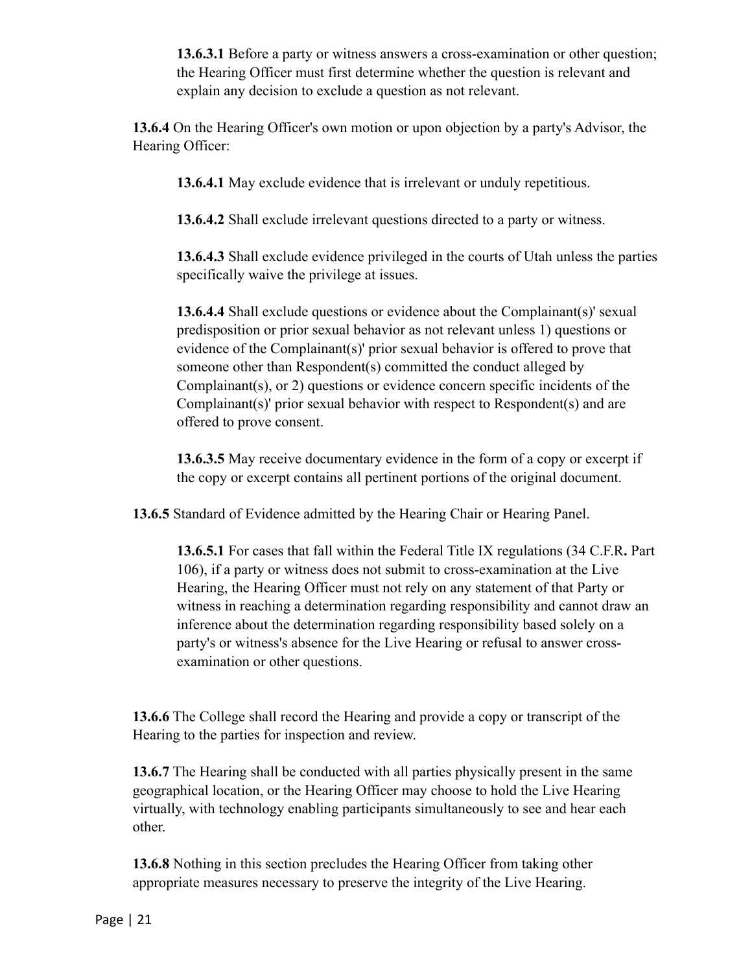**13.6.3.1** Before a party or witness answers a cross-examination or other question; the Hearing Officer must first determine whether the question is relevant and explain any decision to exclude a question as not relevant.

**13.6.4** On the Hearing Officer's own motion or upon objection by a party's Advisor, the Hearing Officer:

**13.6.4.1** May exclude evidence that is irrelevant or unduly repetitious.

**13.6.4.2** Shall exclude irrelevant questions directed to a party or witness.

**13.6.4.3** Shall exclude evidence privileged in the courts of Utah unless the parties specifically waive the privilege at issues.

**13.6.4.4** Shall exclude questions or evidence about the Complainant(s)' sexual predisposition or prior sexual behavior as not relevant unless 1) questions or evidence of the Complainant(s)' prior sexual behavior is offered to prove that someone other than Respondent(s) committed the conduct alleged by Complainant(s), or 2) questions or evidence concern specific incidents of the Complainant(s)' prior sexual behavior with respect to Respondent(s) and are offered to prove consent.

**13.6.3.5** May receive documentary evidence in the form of a copy or excerpt if the copy or excerpt contains all pertinent portions of the original document.

**13.6.5** Standard of Evidence admitted by the Hearing Chair or Hearing Panel.

**13.6.5.1** For cases that fall within the Federal Title IX regulations [\(34 C.F.R](https://www2.ed.gov/policy/rights/reg/ocr/edlite-34cfr106.html)**.** Part [106](https://www2.ed.gov/policy/rights/reg/ocr/edlite-34cfr106.html)), if a party or witness does not submit to cross-examination at the Live Hearing, the Hearing Officer must not rely on any statement of that Party or witness in reaching a determination regarding responsibility and cannot draw an inference about the determination regarding responsibility based solely on a party's or witness's absence for the Live Hearing or refusal to answer crossexamination or other questions.

**13.6.6** The College shall record the Hearing and provide a copy or transcript of the Hearing to the parties for inspection and review.

**13.6.7** The Hearing shall be conducted with all parties physically present in the same geographical location, or the Hearing Officer may choose to hold the Live Hearing virtually, with technology enabling participants simultaneously to see and hear each other.

**13.6.8** Nothing in this section precludes the Hearing Officer from taking other appropriate measures necessary to preserve the integrity of the Live Hearing.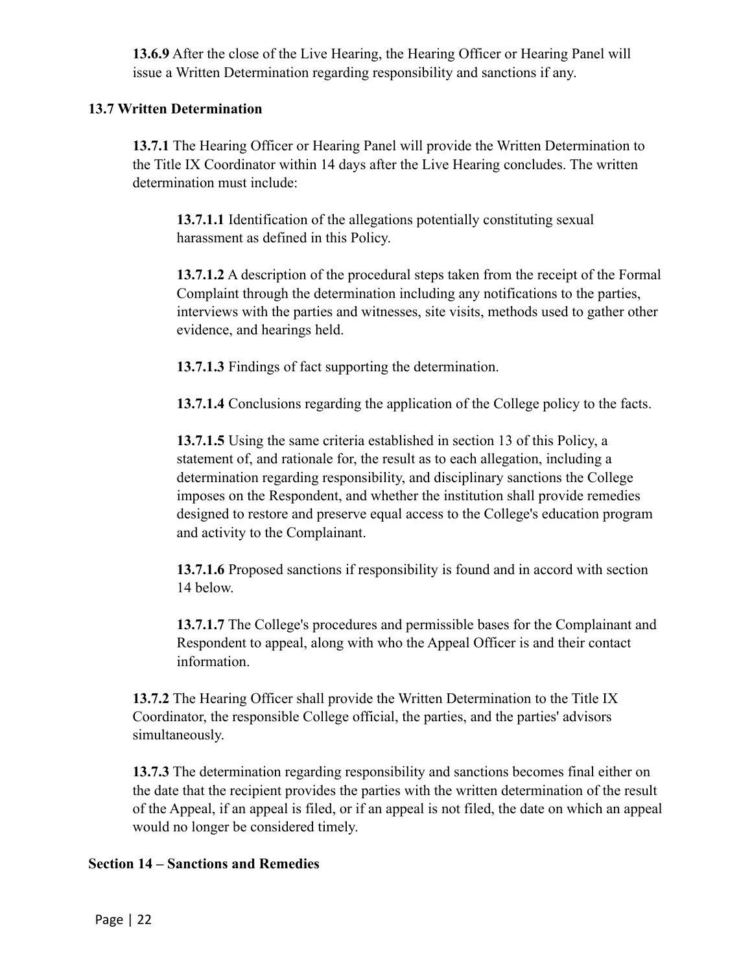**13.6.9** After the close of the Live Hearing, the Hearing Officer or Hearing Panel will issue a Written Determination regarding responsibility and sanctions if any.

### **13.7 Written Determination**

**13.7.1** The Hearing Officer or Hearing Panel will provide the Written Determination to the Title IX Coordinator within 14 days after the Live Hearing concludes. The written determination must include:

**13.7.1.1** Identification of the allegations potentially constituting sexual harassment as defined in this Policy.

**13.7.1.2** A description of the procedural steps taken from the receipt of the Formal Complaint through the determination including any notifications to the parties, interviews with the parties and witnesses, site visits, methods used to gather other evidence, and hearings held.

**13.7.1.3** Findings of fact supporting the determination.

**13.7.1.4** Conclusions regarding the application of the College policy to the facts.

**13.7.1.5** Using the same criteria established in section 13 of this Policy, a statement of, and rationale for, the result as to each allegation, including a determination regarding responsibility, and disciplinary sanctions the College imposes on the Respondent, and whether the institution shall provide remedies designed to restore and preserve equal access to the College's education program and activity to the Complainant.

**13.7.1.6** Proposed sanctions if responsibility is found and in accord with section 14 below.

**13.7.1.7** The College's procedures and permissible bases for the Complainant and Respondent to appeal, along with who the Appeal Officer is and their contact information.

**13.7.2** The Hearing Officer shall provide the Written Determination to the Title IX Coordinator, the responsible College official, the parties, and the parties' advisors simultaneously.

**13.7.3** The determination regarding responsibility and sanctions becomes final either on the date that the recipient provides the parties with the written determination of the result of the Appeal, if an appeal is filed, or if an appeal is not filed, the date on which an appeal would no longer be considered timely.

#### **Section 14 – Sanctions and Remedies**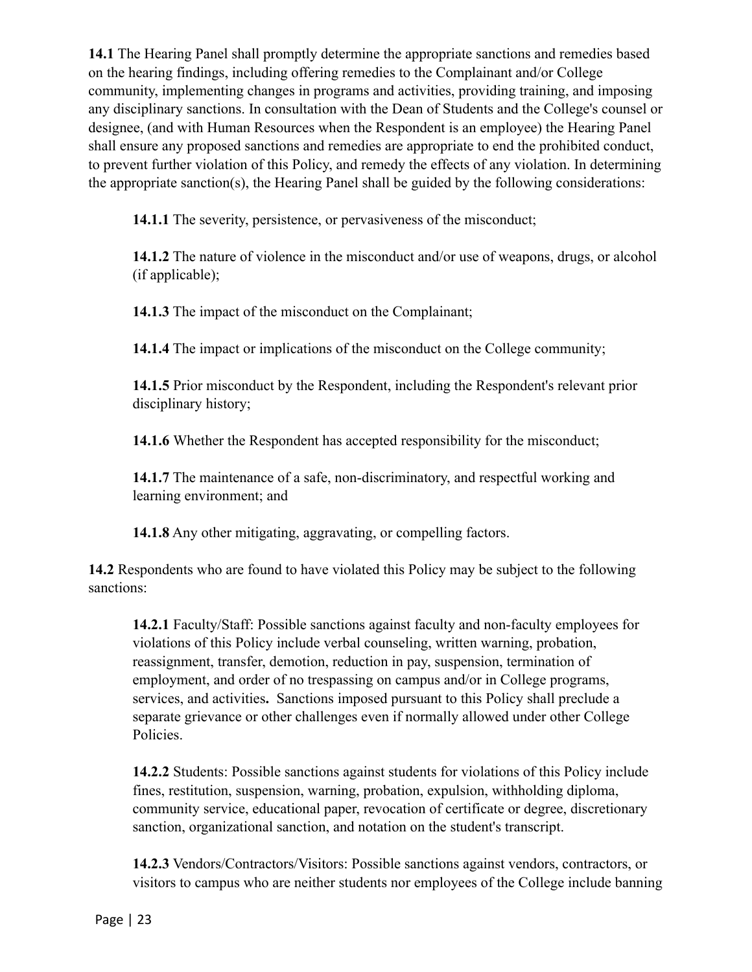**14.1** The Hearing Panel shall promptly determine the appropriate sanctions and remedies based on the hearing findings, including offering remedies to the Complainant and/or College community, implementing changes in programs and activities, providing training, and imposing any disciplinary sanctions. In consultation with the Dean of Students and the College's counsel or designee, (and with Human Resources when the Respondent is an employee) the Hearing Panel shall ensure any proposed sanctions and remedies are appropriate to end the prohibited conduct, to prevent further violation of this Policy, and remedy the effects of any violation. In determining the appropriate sanction(s), the Hearing Panel shall be guided by the following considerations:

**14.1.1** The severity, persistence, or pervasiveness of the misconduct;

**14.1.2** The nature of violence in the misconduct and/or use of weapons, drugs, or alcohol (if applicable);

**14.1.3** The impact of the misconduct on the Complainant;

**14.1.4** The impact or implications of the misconduct on the College community;

**14.1.5** Prior misconduct by the Respondent, including the Respondent's relevant prior disciplinary history;

**14.1.6** Whether the Respondent has accepted responsibility for the misconduct;

**14.1.7** The maintenance of a safe, non-discriminatory, and respectful working and learning environment; and

**14.1.8** Any other mitigating, aggravating, or compelling factors.

**14.2** Respondents who are found to have violated this Policy may be subject to the following sanctions:

**14.2.1** Faculty/Staff: Possible sanctions against faculty and non-faculty employees for violations of this Policy include verbal counseling, written warning, probation, reassignment, transfer, demotion, reduction in pay, suspension, termination of employment, and order of no trespassing on campus and/or in College programs, services, and activities**.** Sanctions imposed pursuant to this Policy shall preclude a separate grievance or other challenges even if normally allowed under other College Policies.

**14.2.2** Students: Possible sanctions against students for violations of this Policy include fines, restitution, suspension, warning, probation, expulsion, withholding diploma, community service, educational paper, revocation of certificate or degree, discretionary sanction, organizational sanction, and notation on the student's transcript.

**14.2.3** Vendors/Contractors/Visitors: Possible sanctions against vendors, contractors, or visitors to campus who are neither students nor employees of the College include banning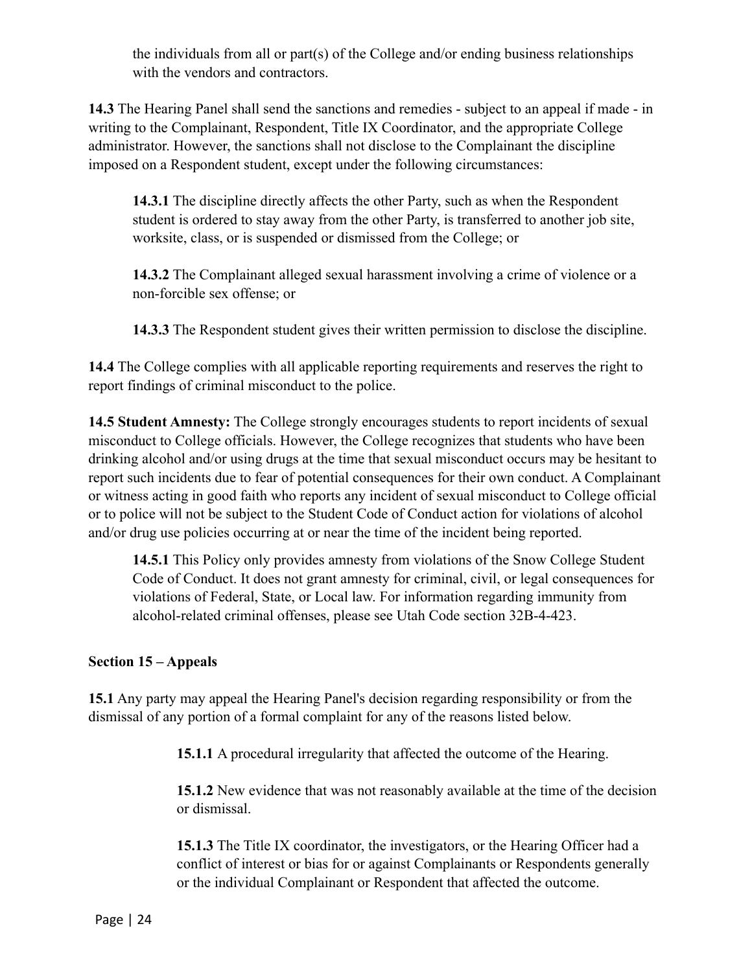the individuals from all or part(s) of the College and/or ending business relationships with the vendors and contractors.

**14.3** The Hearing Panel shall send the sanctions and remedies - subject to an appeal if made - in writing to the Complainant, Respondent, Title IX Coordinator, and the appropriate College administrator. However, the sanctions shall not disclose to the Complainant the discipline imposed on a Respondent student, except under the following circumstances:

**14.3.1** The discipline directly affects the other Party, such as when the Respondent student is ordered to stay away from the other Party, is transferred to another job site, worksite, class, or is suspended or dismissed from the College; or

**14.3.2** The Complainant alleged sexual harassment involving a crime of violence or a non-forcible sex offense; or

**14.3.3** The Respondent student gives their written permission to disclose the discipline.

**14.4** The College complies with all applicable reporting requirements and reserves the right to report findings of criminal misconduct to the police.

**14.5 Student Amnesty:** The College strongly encourages students to report incidents of sexual misconduct to College officials. However, the College recognizes that students who have been drinking alcohol and/or using drugs at the time that sexual misconduct occurs may be hesitant to report such incidents due to fear of potential consequences for their own conduct. A Complainant or witness acting in good faith who reports any incident of sexual misconduct to College official or to police will not be subject to the Student Code of Conduct action for violations of alcohol and/or drug use policies occurring at or near the time of the incident being reported.

**14.5.1** This Policy only provides amnesty from violations of the Snow College Student Code of Conduct. It does not grant amnesty for criminal, civil, or legal consequences for violations of Federal, State, or Local law. For information regarding immunity from alcohol-related criminal offenses, please see Utah Code section 32B-4-423.

### **Section 15 – Appeals**

**15.1** Any party may appeal the Hearing Panel's decision regarding responsibility or from the dismissal of any portion of a formal complaint for any of the reasons listed below.

**15.1.1** A procedural irregularity that affected the outcome of the Hearing.

**15.1.2** New evidence that was not reasonably available at the time of the decision or dismissal.

**15.1.3** The Title IX coordinator, the investigators, or the Hearing Officer had a conflict of interest or bias for or against Complainants or Respondents generally or the individual Complainant or Respondent that affected the outcome.